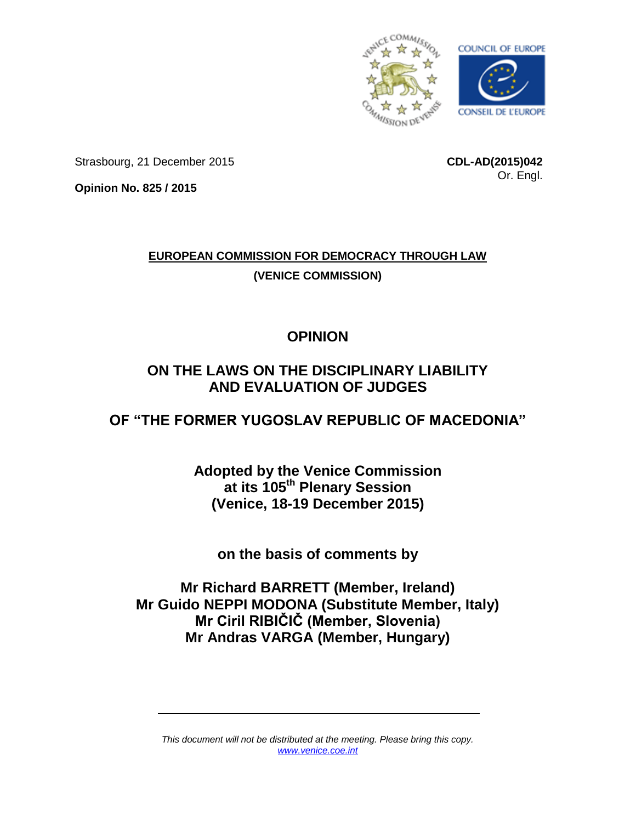

Strasbourg, 21 December 2015

**CDL-AD(2015)042** Or. Engl.

**Opinion No. 825 / 2015**

# **EUROPEAN COMMISSION FOR DEMOCRACY THROUGH LAW (VENICE COMMISSION)**

# **OPINION**

# **ON THE LAWS ON THE DISCIPLINARY LIABILITY AND EVALUATION OF JUDGES**

# **OF "THE FORMER YUGOSLAV REPUBLIC OF MACEDONIA"**

**Adopted by the Venice Commission at its 105th Plenary Session (Venice, 18-19 December 2015)**

**on the basis of comments by**

**Mr Richard BARRETT (Member, Ireland) Mr Guido NEPPI MODONA (Substitute Member, Italy) Mr Ciril RIBIČIČ (Member, Slovenia) Mr Andras VARGA (Member, Hungary)**

*This document will not be distributed at the meeting. Please bring this copy. [www.venice.coe.int](http://www.venice.coe.int/)*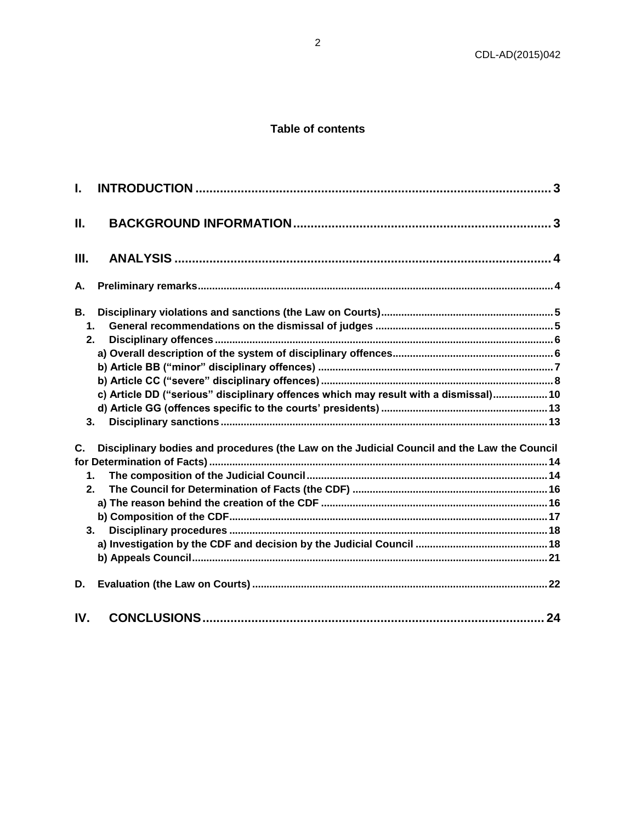# Table of contents

| L.                |                                                                                             |  |
|-------------------|---------------------------------------------------------------------------------------------|--|
| Ш.                |                                                                                             |  |
| Ш.                |                                                                                             |  |
| А.                |                                                                                             |  |
| В.                |                                                                                             |  |
| $\mathbf 1$<br>2. |                                                                                             |  |
|                   |                                                                                             |  |
|                   |                                                                                             |  |
|                   |                                                                                             |  |
|                   | c) Article DD ("serious" disciplinary offences which may result with a dismissal) 10        |  |
|                   |                                                                                             |  |
| 3.                |                                                                                             |  |
| C.                | Disciplinary bodies and procedures (the Law on the Judicial Council and the Law the Council |  |
|                   |                                                                                             |  |
| $\mathbf 1$       |                                                                                             |  |
| 2.                |                                                                                             |  |
|                   |                                                                                             |  |
| 3.                |                                                                                             |  |
|                   |                                                                                             |  |
|                   |                                                                                             |  |
| D.                |                                                                                             |  |
| IV.               |                                                                                             |  |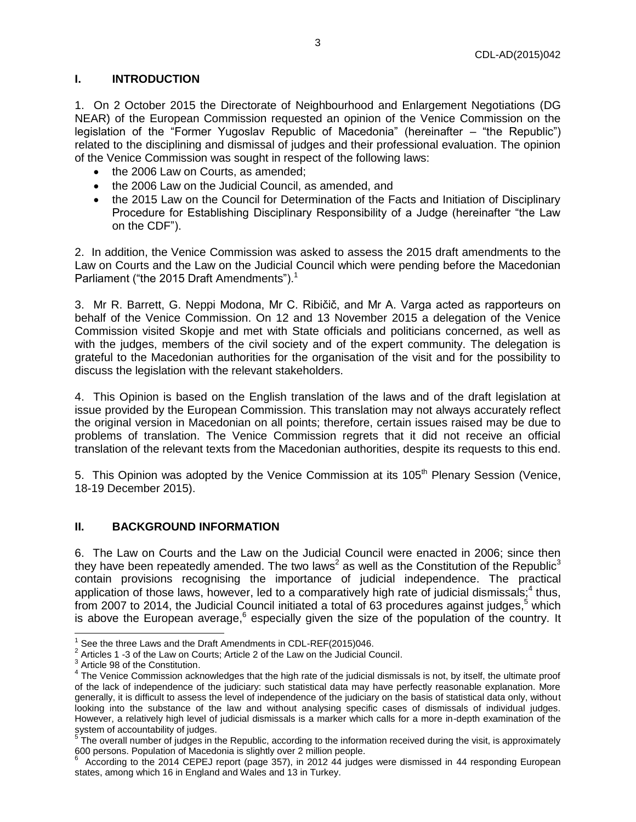#### <span id="page-2-0"></span>**I. INTRODUCTION**

1. On 2 October 2015 the Directorate of Neighbourhood and Enlargement Negotiations (DG NEAR) of the European Commission requested an opinion of the Venice Commission on the legislation of the "Former Yugoslav Republic of Macedonia" (hereinafter – "the Republic") related to the disciplining and dismissal of judges and their professional evaluation. The opinion of the Venice Commission was sought in respect of the following laws:

- the 2006 Law on Courts, as amended;
- the 2006 Law on the Judicial Council, as amended, and
- the 2015 Law on the Council for Determination of the Facts and Initiation of Disciplinary Procedure for Establishing Disciplinary Responsibility of a Judge (hereinafter "the Law on the CDF").

2. In addition, the Venice Commission was asked to assess the 2015 draft amendments to the Law on Courts and the Law on the Judicial Council which were pending before the Macedonian Parliament ("the 2015 Draft Amendments").<sup>1</sup>

3. Mr R. Barrett, G. Neppi Modona, Mr C. Ribičič, and Mr A. Varga acted as rapporteurs on behalf of the Venice Commission. On 12 and 13 November 2015 a delegation of the Venice Commission visited Skopje and met with State officials and politicians concerned, as well as with the judges, members of the civil society and of the expert community. The delegation is grateful to the Macedonian authorities for the organisation of the visit and for the possibility to discuss the legislation with the relevant stakeholders.

4. This Opinion is based on the English translation of the laws and of the draft legislation at issue provided by the European Commission. This translation may not always accurately reflect the original version in Macedonian on all points; therefore, certain issues raised may be due to problems of translation. The Venice Commission regrets that it did not receive an official translation of the relevant texts from the Macedonian authorities, despite its requests to this end.

5. This Opinion was adopted by the Venice Commission at its 105<sup>th</sup> Plenary Session (Venice, 18-19 December 2015).

### <span id="page-2-1"></span>**II. BACKGROUND INFORMATION**

6. The Law on Courts and the Law on the Judicial Council were enacted in 2006; since then they have been repeatedly amended. The two laws<sup>2</sup> as well as the Constitution of the Republic<sup>3</sup> contain provisions recognising the importance of judicial independence. The practical application of those laws, however, led to a comparatively high rate of judicial dismissals;<sup>4</sup> thus, from 2007 to 2014, the Judicial Council initiated a total of 63 procedures against judges,<sup>5</sup> which is above the European average,<sup>6</sup> especially given the size of the population of the country. It

 $\overline{a}$ 1 See the three Laws and the Draft Amendments in CDL-REF(2015)046.

 $^2$  Articles 1 -3 of the Law on Courts; Article 2 of the Law on the Judicial Council.

 $3$  Article 98 of the Constitution.

<sup>&</sup>lt;sup>4</sup> The Venice Commission acknowledges that the high rate of the judicial dismissals is not, by itself, the ultimate proof of the lack of independence of the judiciary: such statistical data may have perfectly reasonable explanation. More generally, it is difficult to assess the level of independence of the judiciary on the basis of statistical data only, without looking into the substance of the law and without analysing specific cases of dismissals of individual judges. However, a relatively high level of judicial dismissals is a marker which calls for a more in-depth examination of the system of accountability of judges.<br><sup>5</sup> The overall number of judges in the Republic, according to the information received during the visit, is approximately

<sup>600</sup> persons. Population of Macedonia is slightly over 2 million people. 6

According to the 2014 CEPEJ report (page 357), in 2012 44 judges were dismissed in 44 responding European states, among which 16 in England and Wales and 13 in Turkey.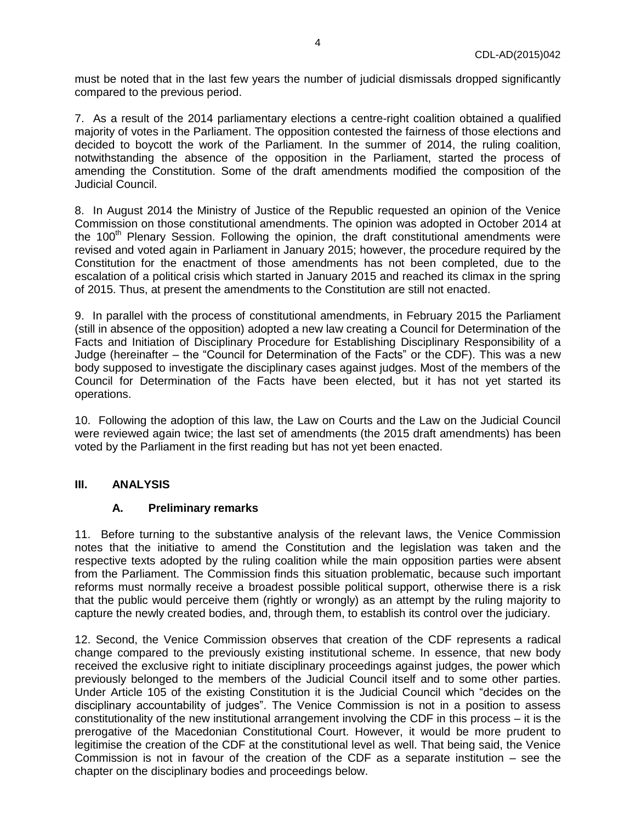must be noted that in the last few years the number of judicial dismissals dropped significantly compared to the previous period.

7. As a result of the 2014 parliamentary elections a centre-right coalition obtained a qualified majority of votes in the Parliament. The opposition contested the fairness of those elections and decided to boycott the work of the Parliament. In the summer of 2014, the ruling coalition, notwithstanding the absence of the opposition in the Parliament, started the process of amending the Constitution. Some of the draft amendments modified the composition of the Judicial Council.

8. In August 2014 the Ministry of Justice of the Republic requested an opinion of the Venice Commission on those constitutional amendments. The opinion was adopted in October 2014 at the 100<sup>th</sup> Plenary Session. Following the opinion, the draft constitutional amendments were revised and voted again in Parliament in January 2015; however, the procedure required by the Constitution for the enactment of those amendments has not been completed, due to the escalation of a political crisis which started in January 2015 and reached its climax in the spring of 2015. Thus, at present the amendments to the Constitution are still not enacted.

9. In parallel with the process of constitutional amendments, in February 2015 the Parliament (still in absence of the opposition) adopted a new law creating a Council for Determination of the Facts and Initiation of Disciplinary Procedure for Establishing Disciplinary Responsibility of a Judge (hereinafter – the "Council for Determination of the Facts" or the CDF). This was a new body supposed to investigate the disciplinary cases against judges. Most of the members of the Council for Determination of the Facts have been elected, but it has not yet started its operations.

10. Following the adoption of this law, the Law on Courts and the Law on the Judicial Council were reviewed again twice; the last set of amendments (the 2015 draft amendments) has been voted by the Parliament in the first reading but has not yet been enacted.

### <span id="page-3-1"></span><span id="page-3-0"></span>**III. ANALYSIS**

#### **A. Preliminary remarks**

11. Before turning to the substantive analysis of the relevant laws, the Venice Commission notes that the initiative to amend the Constitution and the legislation was taken and the respective texts adopted by the ruling coalition while the main opposition parties were absent from the Parliament. The Commission finds this situation problematic, because such important reforms must normally receive a broadest possible political support, otherwise there is a risk that the public would perceive them (rightly or wrongly) as an attempt by the ruling majority to capture the newly created bodies, and, through them, to establish its control over the judiciary.

12. Second, the Venice Commission observes that creation of the CDF represents a radical change compared to the previously existing institutional scheme. In essence, that new body received the exclusive right to initiate disciplinary proceedings against judges, the power which previously belonged to the members of the Judicial Council itself and to some other parties. Under Article 105 of the existing Constitution it is the Judicial Council which "decides on the disciplinary accountability of judges". The Venice Commission is not in a position to assess constitutionality of the new institutional arrangement involving the CDF in this process – it is the prerogative of the Macedonian Constitutional Court. However, it would be more prudent to legitimise the creation of the CDF at the constitutional level as well. That being said, the Venice Commission is not in favour of the creation of the CDF as a separate institution – see the chapter on the disciplinary bodies and proceedings below.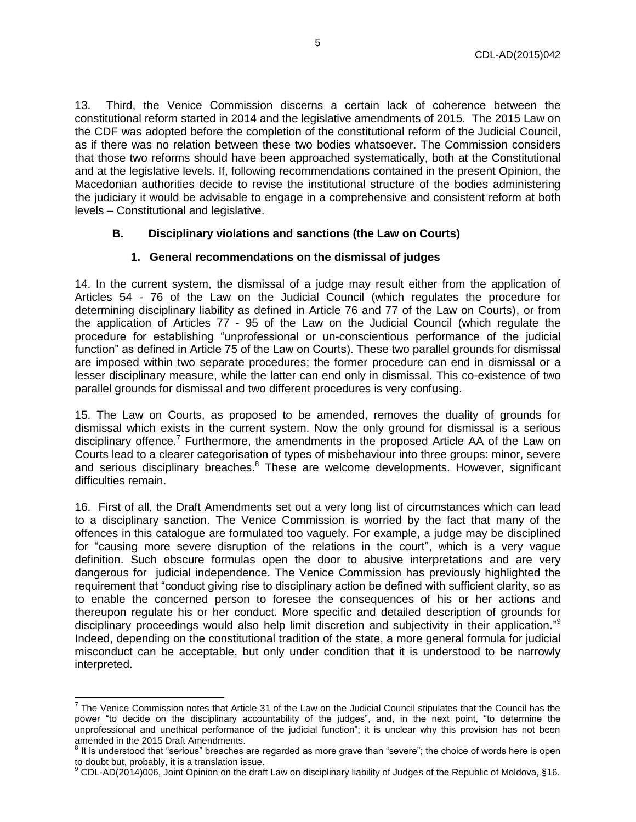13. Third, the Venice Commission discerns a certain lack of coherence between the constitutional reform started in 2014 and the legislative amendments of 2015. The 2015 Law on the CDF was adopted before the completion of the constitutional reform of the Judicial Council, as if there was no relation between these two bodies whatsoever. The Commission considers that those two reforms should have been approached systematically, both at the Constitutional and at the legislative levels. If, following recommendations contained in the present Opinion, the Macedonian authorities decide to revise the institutional structure of the bodies administering the judiciary it would be advisable to engage in a comprehensive and consistent reform at both levels – Constitutional and legislative.

#### <span id="page-4-0"></span>**B. Disciplinary violations and sanctions (the Law on Courts)**

#### **1. General recommendations on the dismissal of judges**

<span id="page-4-1"></span>14. In the current system, the dismissal of a judge may result either from the application of Articles 54 - 76 of the Law on the Judicial Council (which regulates the procedure for determining disciplinary liability as defined in Article 76 and 77 of the Law on Courts), or from the application of Articles 77 - 95 of the Law on the Judicial Council (which regulate the procedure for establishing "unprofessional or un-conscientious performance of the judicial function" as defined in Article 75 of the Law on Courts). These two parallel grounds for dismissal are imposed within two separate procedures; the former procedure can end in dismissal or a lesser disciplinary measure, while the latter can end only in dismissal. This co-existence of two parallel grounds for dismissal and two different procedures is very confusing.

15. The Law on Courts, as proposed to be amended, removes the duality of grounds for dismissal which exists in the current system. Now the only ground for dismissal is a serious disciplinary offence.<sup>7</sup> Furthermore, the amendments in the proposed Article AA of the Law on Courts lead to a clearer categorisation of types of misbehaviour into three groups: minor, severe and serious disciplinary breaches.<sup>8</sup> These are welcome developments. However, significant difficulties remain.

16. First of all, the Draft Amendments set out a very long list of circumstances which can lead to a disciplinary sanction. The Venice Commission is worried by the fact that many of the offences in this catalogue are formulated too vaguely. For example, a judge may be disciplined for "causing more severe disruption of the relations in the court", which is a very vague definition. Such obscure formulas open the door to abusive interpretations and are very dangerous for judicial independence. The Venice Commission has previously highlighted the requirement that "conduct giving rise to disciplinary action be defined with sufficient clarity, so as to enable the concerned person to foresee the consequences of his or her actions and thereupon regulate his or her conduct. More specific and detailed description of grounds for disciplinary proceedings would also help limit discretion and subjectivity in their application."<sup>9</sup> Indeed, depending on the constitutional tradition of the state, a more general formula for judicial misconduct can be acceptable, but only under condition that it is understood to be narrowly interpreted.

The Venice Commission notes that Article 31 of the Law on the Judicial Council stipulates that the Council has the<br>The Venice Commission notes that Article 31 of the Law on the Judicial Council stipulates that the Council power "to decide on the disciplinary accountability of the judges", and, in the next point, "to determine the unprofessional and unethical performance of the judicial function"; it is unclear why this provision has not been amended in the 2015 Draft Amendments.

 $^8$  It is understood that "serious" breaches are regarded as more grave than "severe"; the choice of words here is open to doubt but, probably, it is a translation issue.

 $^9$  CDL-AD(2014)006, Joint Opinion on the draft Law on disciplinary liability of Judges of the Republic of Moldova, §16.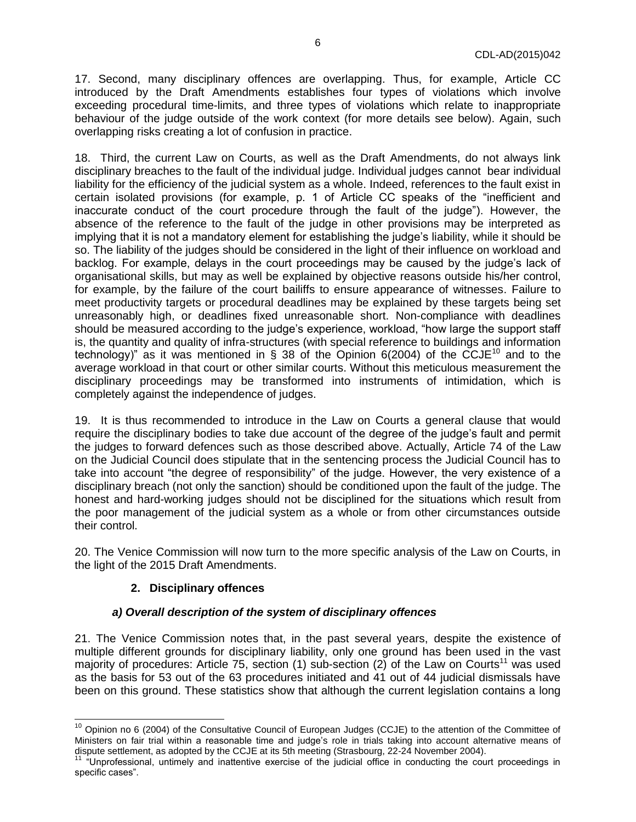17. Second, many disciplinary offences are overlapping. Thus, for example, Article CC introduced by the Draft Amendments establishes four types of violations which involve exceeding procedural time-limits, and three types of violations which relate to inappropriate behaviour of the judge outside of the work context (for more details see below). Again, such overlapping risks creating a lot of confusion in practice.

18. Third, the current Law on Courts, as well as the Draft Amendments, do not always link disciplinary breaches to the fault of the individual judge. Individual judges cannot bear individual liability for the efficiency of the judicial system as a whole. Indeed, references to the fault exist in certain isolated provisions (for example, p. 1 of Article CC speaks of the "inefficient and inaccurate conduct of the court procedure through the fault of the judge"). However, the absence of the reference to the fault of the judge in other provisions may be interpreted as implying that it is not a mandatory element for establishing the judge's liability, while it should be so. The liability of the judges should be considered in the light of their influence on workload and backlog. For example, delays in the court proceedings may be caused by the judge's lack of organisational skills, but may as well be explained by objective reasons outside his/her control, for example, by the failure of the court bailiffs to ensure appearance of witnesses. Failure to meet productivity targets or procedural deadlines may be explained by these targets being set unreasonably high, or deadlines fixed unreasonable short. Non-compliance with deadlines should be measured according to the judge's experience, workload, "how large the support staff is, the quantity and quality of infra-structures (with special reference to buildings and information technology)" as it was mentioned in § 38 of the Opinion 6(2004) of the CCJE<sup>10</sup> and to the average workload in that court or other similar courts. Without this meticulous measurement the disciplinary proceedings may be transformed into instruments of intimidation, which is completely against the independence of judges.

19. It is thus recommended to introduce in the Law on Courts a general clause that would require the disciplinary bodies to take due account of the degree of the judge's fault and permit the judges to forward defences such as those described above. Actually, Article 74 of the Law on the Judicial Council does stipulate that in the sentencing process the Judicial Council has to take into account "the degree of responsibility" of the judge. However, the very existence of a disciplinary breach (not only the sanction) should be conditioned upon the fault of the judge. The honest and hard-working judges should not be disciplined for the situations which result from the poor management of the judicial system as a whole or from other circumstances outside their control.

<span id="page-5-0"></span>20. The Venice Commission will now turn to the more specific analysis of the Law on Courts, in the light of the 2015 Draft Amendments.

### **2. Disciplinary offences**

### *a) Overall description of the system of disciplinary offences*

<span id="page-5-1"></span>21. The Venice Commission notes that, in the past several years, despite the existence of multiple different grounds for disciplinary liability, only one ground has been used in the vast majority of procedures: Article 75, section (1) sub-section (2) of the Law on Courts<sup>11</sup> was used as the basis for 53 out of the 63 procedures initiated and 41 out of 44 judicial dismissals have been on this ground. These statistics show that although the current legislation contains a long

<sup>&</sup>lt;sup>10</sup> Opinion no 6 (2004) of the Consultative Council of European Judges (CCJE) to the attention of the Committee of Ministers on fair trial within a reasonable time and judge's role in trials taking into account alternative means of dispute settlement, as adopted by the CCJE at its 5th meeting (Strasbourg, 22-24 November 2004).

<sup>&</sup>lt;sup>11</sup> "Unprofessional, untimely and inattentive exercise of the judicial office in conducting the court proceedings in specific cases".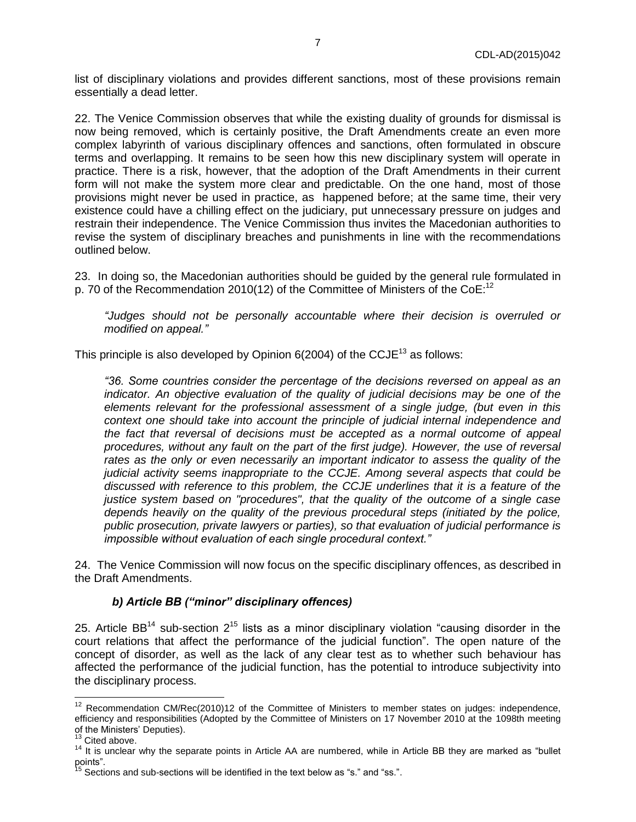list of disciplinary violations and provides different sanctions, most of these provisions remain essentially a dead letter.

22. The Venice Commission observes that while the existing duality of grounds for dismissal is now being removed, which is certainly positive, the Draft Amendments create an even more complex labyrinth of various disciplinary offences and sanctions, often formulated in obscure terms and overlapping. It remains to be seen how this new disciplinary system will operate in practice. There is a risk, however, that the adoption of the Draft Amendments in their current form will not make the system more clear and predictable. On the one hand, most of those provisions might never be used in practice, as happened before; at the same time, their very existence could have a chilling effect on the judiciary, put unnecessary pressure on judges and restrain their independence. The Venice Commission thus invites the Macedonian authorities to revise the system of disciplinary breaches and punishments in line with the recommendations outlined below.

23. In doing so, the Macedonian authorities should be guided by the general rule formulated in p. 70 of the Recommendation 2010(12) of the Committee of Ministers of the CoE:<sup>12</sup>

*"Judges should not be personally accountable where their decision is overruled or modified on appeal."* 

This principle is also developed by Opinion  $6(2004)$  of the CCJE<sup>13</sup> as follows:

*"36. Some countries consider the percentage of the decisions reversed on appeal as an indicator. An objective evaluation of the quality of judicial decisions may be one of the elements relevant for the professional assessment of a single judge, (but even in this context one should take into account the principle of judicial internal independence and the fact that reversal of decisions must be accepted as a normal outcome of appeal procedures, without any fault on the part of the first judge). However, the use of reversal rates as the only or even necessarily an important indicator to assess the quality of the judicial activity seems inappropriate to the CCJE. Among several aspects that could be discussed with reference to this problem, the CCJE underlines that it is a feature of the justice system based on "procedures", that the quality of the outcome of a single case depends heavily on the quality of the previous procedural steps (initiated by the police, public prosecution, private lawyers or parties), so that evaluation of judicial performance is impossible without evaluation of each single procedural context."* 

<span id="page-6-0"></span>24. The Venice Commission will now focus on the specific disciplinary offences, as described in the Draft Amendments.

#### *b) Article BB ("minor" disciplinary offences)*

25. Article BB<sup>14</sup> sub-section  $2^{15}$  lists as a minor disciplinary violation "causing disorder in the court relations that affect the performance of the judicial function". The open nature of the concept of disorder, as well as the lack of any clear test as to whether such behaviour has affected the performance of the judicial function, has the potential to introduce subjectivity into the disciplinary process.

 $12$  Recommendation CM/Rec(2010)12 of the Committee of Ministers to member states on judges: independence, efficiency and responsibilities (Adopted by the Committee of Ministers on 17 November 2010 at the 1098th meeting of the Ministers' Deputies).

Cited above.

<sup>14</sup> It is unclear why the separate points in Article AA are numbered, while in Article BB they are marked as "bullet points".

 $15$  Sections and sub-sections will be identified in the text below as "s." and "ss.".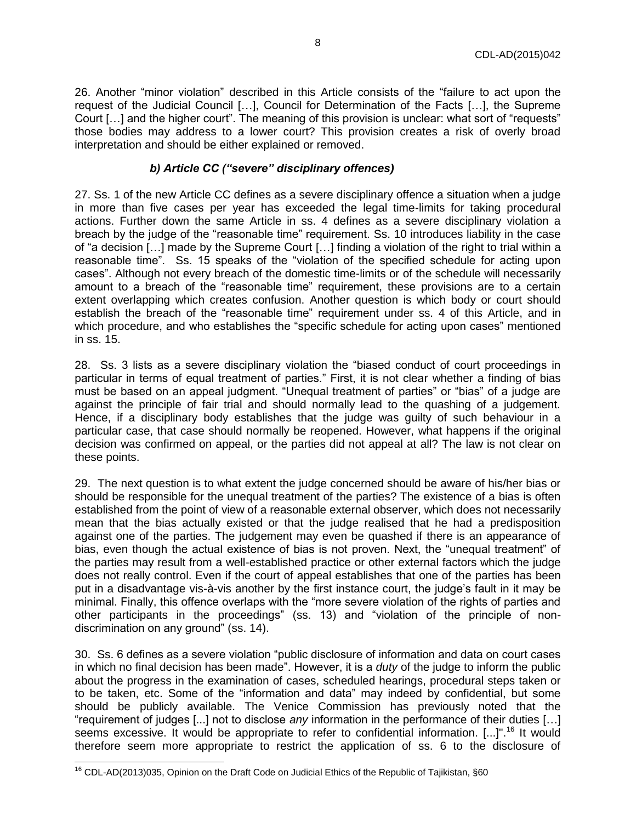26. Another "minor violation" described in this Article consists of the "failure to act upon the request of the Judicial Council […], Council for Determination of the Facts […], the Supreme Court […] and the higher court". The meaning of this provision is unclear: what sort of "requests" those bodies may address to a lower court? This provision creates a risk of overly broad interpretation and should be either explained or removed.

### *b) Article CC ("severe" disciplinary offences)*

<span id="page-7-0"></span>27. Ss. 1 of the new Article CC defines as a severe disciplinary offence a situation when a judge in more than five cases per year has exceeded the legal time-limits for taking procedural actions. Further down the same Article in ss. 4 defines as a severe disciplinary violation a breach by the judge of the "reasonable time" requirement. Ss. 10 introduces liability in the case of "a decision […] made by the Supreme Court […] finding a violation of the right to trial within a reasonable time". Ss. 15 speaks of the "violation of the specified schedule for acting upon cases". Although not every breach of the domestic time-limits or of the schedule will necessarily amount to a breach of the "reasonable time" requirement, these provisions are to a certain extent overlapping which creates confusion. Another question is which body or court should establish the breach of the "reasonable time" requirement under ss. 4 of this Article, and in which procedure, and who establishes the "specific schedule for acting upon cases" mentioned in ss. 15.

28. Ss. 3 lists as a severe disciplinary violation the "biased conduct of court proceedings in particular in terms of equal treatment of parties." First, it is not clear whether a finding of bias must be based on an appeal judgment. "Unequal treatment of parties" or "bias" of a judge are against the principle of fair trial and should normally lead to the quashing of a judgement. Hence, if a disciplinary body establishes that the judge was guilty of such behaviour in a particular case, that case should normally be reopened. However, what happens if the original decision was confirmed on appeal, or the parties did not appeal at all? The law is not clear on these points.

29. The next question is to what extent the judge concerned should be aware of his/her bias or should be responsible for the unequal treatment of the parties? The existence of a bias is often established from the point of view of a reasonable external observer, which does not necessarily mean that the bias actually existed or that the judge realised that he had a predisposition against one of the parties. The judgement may even be quashed if there is an appearance of bias, even though the actual existence of bias is not proven. Next, the "unequal treatment" of the parties may result from a well-established practice or other external factors which the judge does not really control. Even if the court of appeal establishes that one of the parties has been put in a disadvantage vis-à-vis another by the first instance court, the judge's fault in it may be minimal. Finally, this offence overlaps with the "more severe violation of the rights of parties and other participants in the proceedings" (ss. 13) and "violation of the principle of nondiscrimination on any ground" (ss. 14).

30. Ss. 6 defines as a severe violation "public disclosure of information and data on court cases in which no final decision has been made". However, it is a *duty* of the judge to inform the public about the progress in the examination of cases, scheduled hearings, procedural steps taken or to be taken, etc. Some of the "information and data" may indeed by confidential, but some should be publicly available. The Venice Commission has previously noted that the "requirement of judges [...] not to disclose *any* information in the performance of their duties […] seems excessive. It would be appropriate to refer to confidential information. [...]".<sup>16</sup> It would therefore seem more appropriate to restrict the application of ss. 6 to the disclosure of

 $\overline{a}$  $^{16}$  CDL-AD(2013)035, Opinion on the Draft Code on Judicial Ethics of the Republic of Tajikistan, §60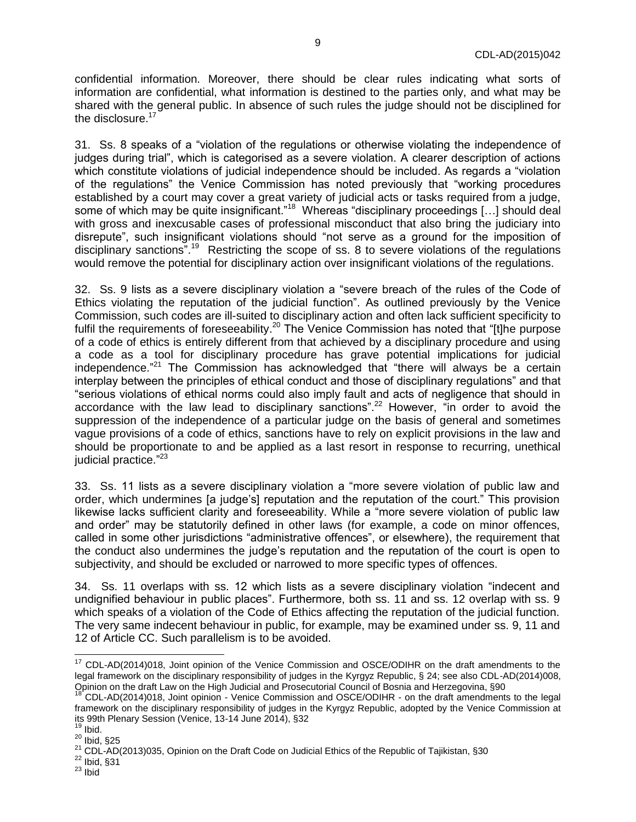confidential information. Moreover, there should be clear rules indicating what sorts of information are confidential, what information is destined to the parties only, and what may be shared with the general public. In absence of such rules the judge should not be disciplined for the disclosure.<sup>17</sup>

31. Ss. 8 speaks of a "violation of the regulations or otherwise violating the independence of judges during trial", which is categorised as a severe violation. A clearer description of actions which constitute violations of judicial independence should be included. As regards a "violation of the regulations" the Venice Commission has noted previously that "working procedures established by a court may cover a great variety of judicial acts or tasks required from a judge, some of which may be quite insignificant."<sup>18</sup> Whereas "disciplinary proceedings [...] should deal with gross and inexcusable cases of professional misconduct that also bring the judiciary into disrepute", such insignificant violations should "not serve as a ground for the imposition of disciplinary sanctions".<sup>19</sup> Restricting the scope of ss. 8 to severe violations of the regulations would remove the potential for disciplinary action over insignificant violations of the regulations.

32. Ss. 9 lists as a severe disciplinary violation a "severe breach of the rules of the Code of Ethics violating the reputation of the judicial function". As outlined previously by the Venice Commission, such codes are ill-suited to disciplinary action and often lack sufficient specificity to fulfil the requirements of foreseeability.<sup>20</sup> The Venice Commission has noted that "[t]he purpose of a code of ethics is entirely different from that achieved by a disciplinary procedure and using a code as a tool for disciplinary procedure has grave potential implications for judicial independence."<sup>21</sup> The Commission has acknowledged that "there will always be a certain interplay between the principles of ethical conduct and those of disciplinary regulations" and that "serious violations of ethical norms could also imply fault and acts of negligence that should in accordance with the law lead to disciplinary sanctions".<sup>22</sup> However, "in order to avoid the suppression of the independence of a particular judge on the basis of general and sometimes vague provisions of a code of ethics, sanctions have to rely on explicit provisions in the law and should be proportionate to and be applied as a last resort in response to recurring, unethical judicial practice."<sup>23</sup>

33. Ss. 11 lists as a severe disciplinary violation a "more severe violation of public law and order, which undermines [a judge's] reputation and the reputation of the court." This provision likewise lacks sufficient clarity and foreseeability. While a "more severe violation of public law and order" may be statutorily defined in other laws (for example, a code on minor offences, called in some other jurisdictions "administrative offences", or elsewhere), the requirement that the conduct also undermines the judge's reputation and the reputation of the court is open to subjectivity, and should be excluded or narrowed to more specific types of offences.

34. Ss. 11 overlaps with ss. 12 which lists as a severe disciplinary violation "indecent and undignified behaviour in public places". Furthermore, both ss. 11 and ss. 12 overlap with ss. 9 which speaks of a violation of the Code of Ethics affecting the reputation of the judicial function. The very same indecent behaviour in public, for example, may be examined under ss. 9, 11 and 12 of Article CC. Such parallelism is to be avoided.

 $\overline{a}$ 

 $17$  CDL-AD(2014)018, Joint opinion of the Venice Commission and OSCE/ODIHR on the draft amendments to the legal framework on the disciplinary responsibility of judges in the Kyrgyz Republic, § 24; see also CDL-AD(2014)008, Opinion on the draft Law on the High Judicial and Prosecutorial Council of Bosnia and Herzegovina, §90<br><sup>18</sup> CDL AD(2014)262 Jistic and Herzegovina, §90

<sup>18</sup> CDL-AD(2014)018, Joint opinion - Venice Commission and OSCE/ODIHR - on the draft amendments to the legal framework on the disciplinary responsibility of judges in the Kyrgyz Republic, adopted by the Venice Commission at its 99th Plenary Session (Venice, 13-14 June 2014), §32

Ibid.

 $^{20}$  Ibid, §25

<sup>&</sup>lt;sup>21</sup> CDL-AD(2013)035, Opinion on the Draft Code on Judicial Ethics of the Republic of Tajikistan, §30

 $22$  Ibid,  $$31$ 

 $23$  Ibid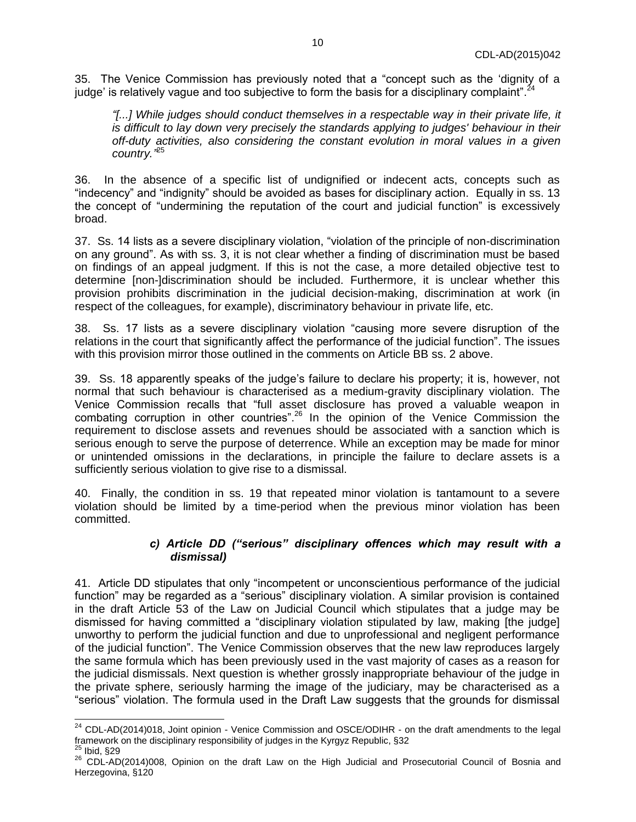35. The Venice Commission has previously noted that a "concept such as the 'dignity of a judge' is relatively vague and too subjective to form the basis for a disciplinary complaint".<sup>24</sup>

*"[...] While judges should conduct themselves in a respectable way in their private life, it is difficult to lay down very precisely the standards applying to judges' behaviour in their off-duty activities, also considering the constant evolution in moral values in a given country."* 25

36. In the absence of a specific list of undignified or indecent acts, concepts such as "indecency" and "indignity" should be avoided as bases for disciplinary action. Equally in ss. 13 the concept of "undermining the reputation of the court and judicial function" is excessively broad.

37. Ss. 14 lists as a severe disciplinary violation, "violation of the principle of non-discrimination on any ground". As with ss. 3, it is not clear whether a finding of discrimination must be based on findings of an appeal judgment. If this is not the case, a more detailed objective test to determine [non-]discrimination should be included. Furthermore, it is unclear whether this provision prohibits discrimination in the judicial decision-making, discrimination at work (in respect of the colleagues, for example), discriminatory behaviour in private life, etc.

38. Ss. 17 lists as a severe disciplinary violation "causing more severe disruption of the relations in the court that significantly affect the performance of the judicial function". The issues with this provision mirror those outlined in the comments on Article BB ss. 2 above.

39. Ss. 18 apparently speaks of the judge's failure to declare his property; it is, however, not normal that such behaviour is characterised as a medium-gravity disciplinary violation. The Venice Commission recalls that "full asset disclosure has proved a valuable weapon in combating corruption in other countries".<sup>26</sup> In the opinion of the Venice Commission the requirement to disclose assets and revenues should be associated with a sanction which is serious enough to serve the purpose of deterrence. While an exception may be made for minor or unintended omissions in the declarations, in principle the failure to declare assets is a sufficiently serious violation to give rise to a dismissal.

40. Finally, the condition in ss. 19 that repeated minor violation is tantamount to a severe violation should be limited by a time-period when the previous minor violation has been committed.

#### *c) Article DD ("serious" disciplinary offences which may result with a dismissal)*

<span id="page-9-0"></span>41. Article DD stipulates that only "incompetent or unconscientious performance of the judicial function" may be regarded as a "serious" disciplinary violation. A similar provision is contained in the draft Article 53 of the Law on Judicial Council which stipulates that a judge may be dismissed for having committed a "disciplinary violation stipulated by law, making [the judge] unworthy to perform the judicial function and due to unprofessional and negligent performance of the judicial function". The Venice Commission observes that the new law reproduces largely the same formula which has been previously used in the vast majority of cases as a reason for the judicial dismissals. Next question is whether grossly inappropriate behaviour of the judge in the private sphere, seriously harming the image of the judiciary, may be characterised as a "serious" violation. The formula used in the Draft Law suggests that the grounds for dismissal

 $^{24}$  CDL-AD(2014)018, Joint opinion - Venice Commission and OSCE/ODIHR - on the draft amendments to the legal framework on the disciplinary responsibility of judges in the Kyrgyz Republic, §32

 $25$  Ibid, §29

<sup>26</sup> CDL-AD(2014)008, Opinion on the draft Law on the High Judicial and Prosecutorial Council of Bosnia and Herzegovina, §120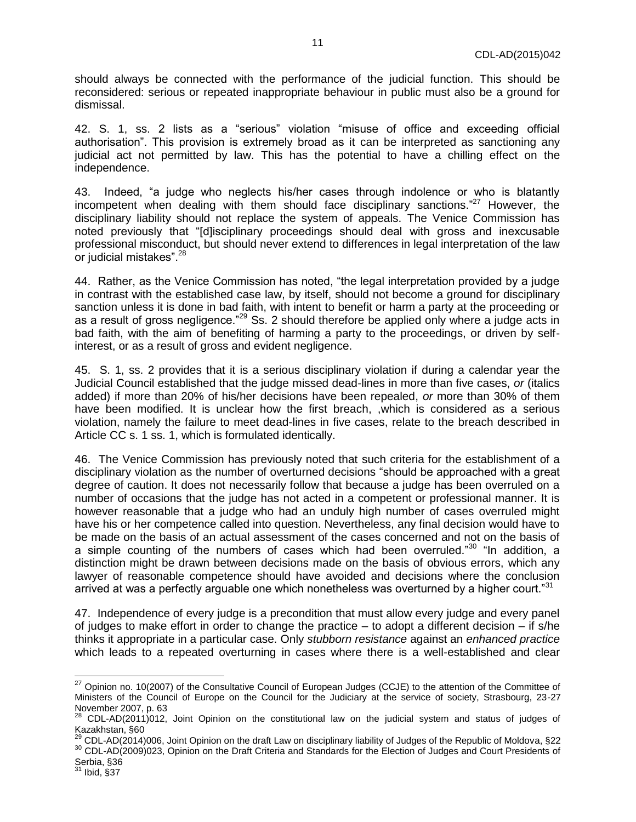should always be connected with the performance of the judicial function. This should be reconsidered: serious or repeated inappropriate behaviour in public must also be a ground for dismissal.

42. S. 1, ss. 2 lists as a "serious" violation "misuse of office and exceeding official authorisation". This provision is extremely broad as it can be interpreted as sanctioning any judicial act not permitted by law. This has the potential to have a chilling effect on the independence.

43. Indeed, "a judge who neglects his/her cases through indolence or who is blatantly incompetent when dealing with them should face disciplinary sanctions." <sup>27</sup> However, the disciplinary liability should not replace the system of appeals. The Venice Commission has noted previously that "[d]isciplinary proceedings should deal with gross and inexcusable professional misconduct, but should never extend to differences in legal interpretation of the law .<br>or judicial mistakes".<sup>28</sup>

44. Rather, as the Venice Commission has noted, "the legal interpretation provided by a judge in contrast with the established case law, by itself, should not become a ground for disciplinary sanction unless it is done in bad faith, with intent to benefit or harm a party at the proceeding or as a result of gross negligence."<sup>29</sup> Ss. 2 should therefore be applied only where a judge acts in bad faith, with the aim of benefiting of harming a party to the proceedings, or driven by selfinterest, or as a result of gross and evident negligence.

45. S. 1, ss. 2 provides that it is a serious disciplinary violation if during a calendar year the Judicial Council established that the judge missed dead-lines in more than five cases, *or* (italics added) if more than 20% of his/her decisions have been repealed, *or* more than 30% of them have been modified. It is unclear how the first breach, ,which is considered as a serious violation, namely the failure to meet dead-lines in five cases, relate to the breach described in Article CC s. 1 ss. 1, which is formulated identically.

46. The Venice Commission has previously noted that such criteria for the establishment of a disciplinary violation as the number of overturned decisions "should be approached with a great degree of caution. It does not necessarily follow that because a judge has been overruled on a number of occasions that the judge has not acted in a competent or professional manner. It is however reasonable that a judge who had an unduly high number of cases overruled might have his or her competence called into question. Nevertheless, any final decision would have to be made on the basis of an actual assessment of the cases concerned and not on the basis of a simple counting of the numbers of cases which had been overruled."<sup>30</sup> "In addition, a distinction might be drawn between decisions made on the basis of obvious errors, which any lawyer of reasonable competence should have avoided and decisions where the conclusion arrived at was a perfectly arguable one which nonetheless was overturned by a higher court."<sup>31</sup>

47. Independence of every judge is a precondition that must allow every judge and every panel of judges to make effort in order to change the practice – to adopt a different decision – if s/he thinks it appropriate in a particular case. Only *stubborn resistance* against an *enhanced practice* which leads to a repeated overturning in cases where there is a well-established and clear

  $27$  Opinion no. 10(2007) of the Consultative Council of European Judges (CCJE) to the attention of the Committee of Ministers of the Council of Europe on the Council for the Judiciary at the service of society, Strasbourg, 23-27 November 2007, p. 63

 $^{28}$  CDL-AD(2011)012, Joint Opinion on the constitutional law on the judicial system and status of judges of Kazakhstan, §60

<sup>29</sup> CDL-AD(2014)006, Joint Opinion on the draft Law on disciplinary liability of Judges of the Republic of Moldova, §22

<sup>30</sup> CDL-AD(2009)023, Opinion on the Draft Criteria and Standards for the Election of Judges and Court Presidents of Serbia, §36

 $31$  Ibid,  $\S$ 37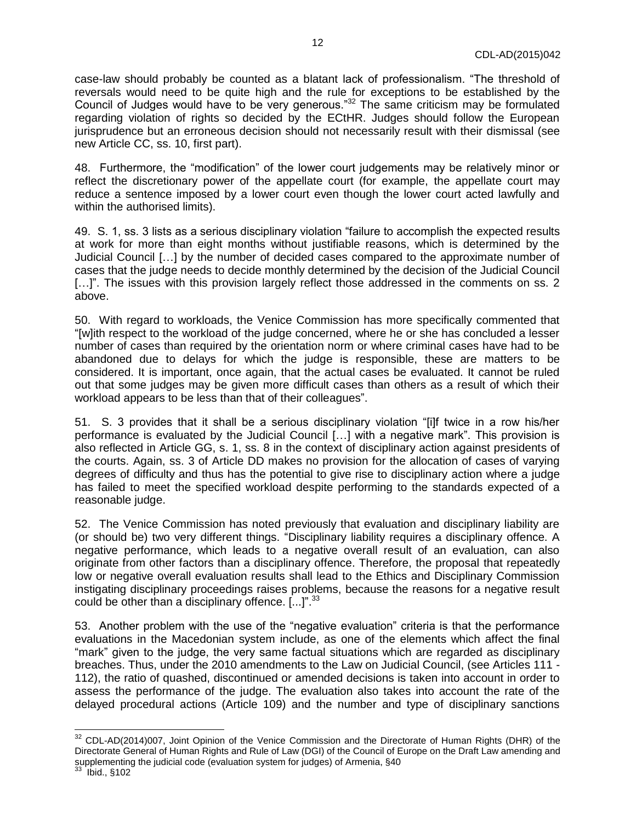case-law should probably be counted as a blatant lack of professionalism. "The threshold of reversals would need to be quite high and the rule for exceptions to be established by the Council of Judges would have to be very generous."<sup>32</sup> The same criticism may be formulated regarding violation of rights so decided by the ECtHR. Judges should follow the European jurisprudence but an erroneous decision should not necessarily result with their dismissal (see new Article CC, ss. 10, first part).

48. Furthermore, the "modification" of the lower court judgements may be relatively minor or reflect the discretionary power of the appellate court (for example, the appellate court may reduce a sentence imposed by a lower court even though the lower court acted lawfully and within the authorised limits).

49. S. 1, ss. 3 lists as a serious disciplinary violation "failure to accomplish the expected results at work for more than eight months without justifiable reasons, which is determined by the Judicial Council […] by the number of decided cases compared to the approximate number of cases that the judge needs to decide monthly determined by the decision of the Judicial Council [...]". The issues with this provision largely reflect those addressed in the comments on ss. 2 above.

50. With regard to workloads, the Venice Commission has more specifically commented that "[w]ith respect to the workload of the judge concerned, where he or she has concluded a lesser number of cases than required by the orientation norm or where criminal cases have had to be abandoned due to delays for which the judge is responsible, these are matters to be considered. It is important, once again, that the actual cases be evaluated. It cannot be ruled out that some judges may be given more difficult cases than others as a result of which their workload appears to be less than that of their colleagues".

51. S. 3 provides that it shall be a serious disciplinary violation "[i]f twice in a row his/her performance is evaluated by the Judicial Council […] with a negative mark". This provision is also reflected in Article GG, s. 1, ss. 8 in the context of disciplinary action against presidents of the courts. Again, ss. 3 of Article DD makes no provision for the allocation of cases of varying degrees of difficulty and thus has the potential to give rise to disciplinary action where a judge has failed to meet the specified workload despite performing to the standards expected of a reasonable judge.

52. The Venice Commission has noted previously that evaluation and disciplinary liability are (or should be) two very different things. "Disciplinary liability requires a disciplinary offence. A negative performance, which leads to a negative overall result of an evaluation, can also originate from other factors than a disciplinary offence. Therefore, the proposal that repeatedly low or negative overall evaluation results shall lead to the Ethics and Disciplinary Commission instigating disciplinary proceedings raises problems, because the reasons for a negative result could be other than a disciplinary offence.  $[...]$ <sup>".33</sup>

53. Another problem with the use of the "negative evaluation" criteria is that the performance evaluations in the Macedonian system include, as one of the elements which affect the final "mark" given to the judge, the very same factual situations which are regarded as disciplinary breaches. Thus, under the 2010 amendments to the Law on Judicial Council, (see Articles 111 - 112), the ratio of quashed, discontinued or amended decisions is taken into account in order to assess the performance of the judge. The evaluation also takes into account the rate of the delayed procedural actions (Article 109) and the number and type of disciplinary sanctions

 $\overline{a}$ 

 $32$  CDL-AD(2014)007, Joint Opinion of the Venice Commission and the Directorate of Human Rights (DHR) of the Directorate General of Human Rights and Rule of Law (DGI) of the Council of Europe on the Draft Law amending and supplementing the judicial code (evaluation system for judges) of Armenia, §40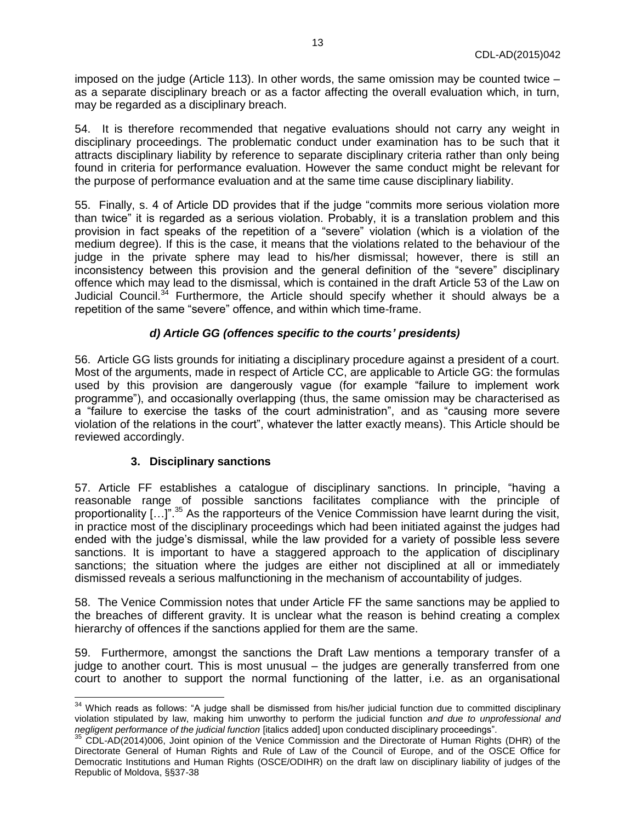imposed on the judge (Article 113). In other words, the same omission may be counted twice – as a separate disciplinary breach or as a factor affecting the overall evaluation which, in turn, may be regarded as a disciplinary breach.

54. It is therefore recommended that negative evaluations should not carry any weight in disciplinary proceedings. The problematic conduct under examination has to be such that it attracts disciplinary liability by reference to separate disciplinary criteria rather than only being found in criteria for performance evaluation. However the same conduct might be relevant for the purpose of performance evaluation and at the same time cause disciplinary liability.

55. Finally, s. 4 of Article DD provides that if the judge "commits more serious violation more than twice" it is regarded as a serious violation. Probably, it is a translation problem and this provision in fact speaks of the repetition of a "severe" violation (which is a violation of the medium degree). If this is the case, it means that the violations related to the behaviour of the judge in the private sphere may lead to his/her dismissal; however, there is still an inconsistency between this provision and the general definition of the "severe" disciplinary offence which may lead to the dismissal, which is contained in the draft Article 53 of the Law on Judicial Council.<sup>34</sup> Furthermore, the Article should specify whether it should always be a repetition of the same "severe" offence, and within which time-frame.

### *d) Article GG (offences specific to the courts' presidents)*

<span id="page-12-0"></span>56. Article GG lists grounds for initiating a disciplinary procedure against a president of a court. Most of the arguments, made in respect of Article CC, are applicable to Article GG: the formulas used by this provision are dangerously vague (for example "failure to implement work programme"), and occasionally overlapping (thus, the same omission may be characterised as a "failure to exercise the tasks of the court administration", and as "causing more severe violation of the relations in the court", whatever the latter exactly means). This Article should be reviewed accordingly.

### **3. Disciplinary sanctions**

<span id="page-12-1"></span>57. Article FF establishes a catalogue of disciplinary sanctions. In principle, "having a reasonable range of possible sanctions facilitates compliance with the principle of proportionality  $\left[\ldots\right]$ " 35 As the rapporteurs of the Venice Commission have learnt during the visit, in practice most of the disciplinary proceedings which had been initiated against the judges had ended with the judge's dismissal, while the law provided for a variety of possible less severe sanctions. It is important to have a staggered approach to the application of disciplinary sanctions; the situation where the judges are either not disciplined at all or immediately dismissed reveals a serious malfunctioning in the mechanism of accountability of judges.

58. The Venice Commission notes that under Article FF the same sanctions may be applied to the breaches of different gravity. It is unclear what the reason is behind creating a complex hierarchy of offences if the sanctions applied for them are the same.

59. Furthermore, amongst the sanctions the Draft Law mentions a temporary transfer of a judge to another court. This is most unusual – the judges are generally transferred from one court to another to support the normal functioning of the latter, i.e. as an organisational

 $34$  Which reads as follows: "A judge shall be dismissed from his/her judicial function due to committed disciplinary violation stipulated by law, making him unworthy to perform the judicial function *and due to unprofessional and negligent performance of the judicial function* [italics added] upon conducted disciplinary proceedings".

 $35$  CDL-AD(2014)006, Joint opinion of the Venice Commission and the Directorate of Human Rights (DHR) of the Directorate General of Human Rights and Rule of Law of the Council of Europe, and of the OSCE Office for Democratic Institutions and Human Rights (OSCE/ODIHR) on the draft law on disciplinary liability of judges of the Republic of Moldova, §§37-38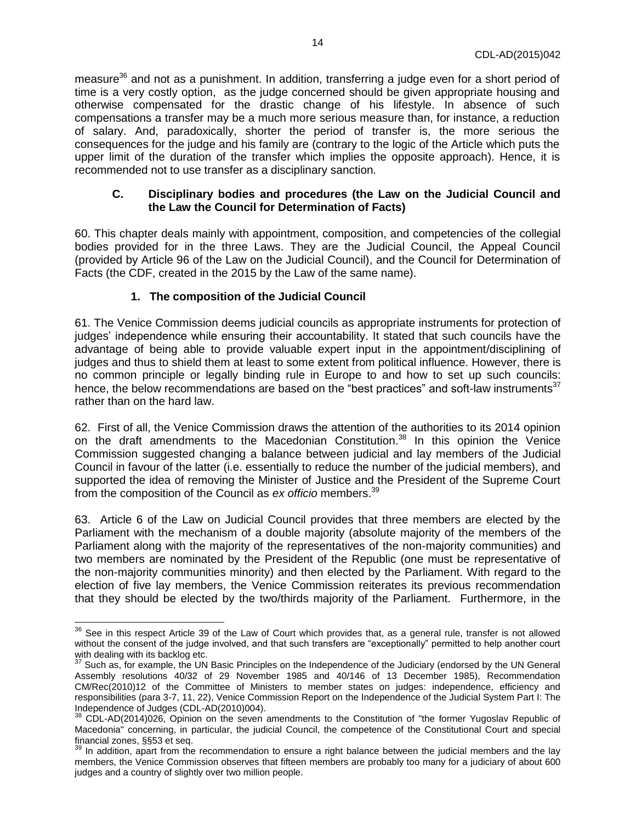measure<sup>36</sup> and not as a punishment. In addition, transferring a judge even for a short period of time is a very costly option, as the judge concerned should be given appropriate housing and otherwise compensated for the drastic change of his lifestyle. In absence of such compensations a transfer may be a much more serious measure than, for instance, a reduction of salary. And, paradoxically, shorter the period of transfer is, the more serious the consequences for the judge and his family are (contrary to the logic of the Article which puts the upper limit of the duration of the transfer which implies the opposite approach). Hence, it is recommended not to use transfer as a disciplinary sanction.

#### <span id="page-13-0"></span>**C. Disciplinary bodies and procedures (the Law on the Judicial Council and the Law the Council for Determination of Facts)**

60. This chapter deals mainly with appointment, composition, and competencies of the collegial bodies provided for in the three Laws. They are the Judicial Council, the Appeal Council (provided by Article 96 of the Law on the Judicial Council), and the Council for Determination of Facts (the CDF, created in the 2015 by the Law of the same name).

#### **1. The composition of the Judicial Council**

<span id="page-13-1"></span>61. The Venice Commission deems judicial councils as appropriate instruments for protection of judges' independence while ensuring their accountability. It stated that such councils have the advantage of being able to provide valuable expert input in the appointment/disciplining of judges and thus to shield them at least to some extent from political influence. However, there is no common principle or legally binding rule in Europe to and how to set up such councils: hence, the below recommendations are based on the "best practices" and soft-law instruments<sup>37</sup> rather than on the hard law.

62. First of all, the Venice Commission draws the attention of the authorities to its 2014 opinion on the draft amendments to the Macedonian Constitution.<sup>38</sup> In this opinion the Venice Commission suggested changing a balance between judicial and lay members of the Judicial Council in favour of the latter (i.e. essentially to reduce the number of the judicial members), and supported the idea of removing the Minister of Justice and the President of the Supreme Court from the composition of the Council as *ex officio* members.<sup>39</sup>

63. Article 6 of the Law on Judicial Council provides that three members are elected by the Parliament with the mechanism of a double majority (absolute majority of the members of the Parliament along with the majority of the representatives of the non-majority communities) and two members are nominated by the President of the Republic (one must be representative of the non-majority communities minority) and then elected by the Parliament. With regard to the election of five lay members, the Venice Commission reiterates its previous recommendation that they should be elected by the two/thirds majority of the Parliament. Furthermore, in the

 $36$  See in this respect Article 39 of the Law of Court which provides that, as a general rule, transfer is not allowed without the consent of the judge involved, and that such transfers are "exceptionally" permitted to help another court with dealing with its backlog etc.

 $37$  Such as, for example, the UN Basic Principles on the Independence of the Judiciary (endorsed by the UN General Assembly resolutions 40/32 of 29 November 1985 and 40/146 of 13 December 1985), Recommendation CM/Rec(2010)12 of the Committee of Ministers to member states on judges: independence, efficiency and responsibilities (para 3-7, 11, 22), Venice Commission Report on the Independence of the Judicial System Part I: The Independence of Judges (CDL-AD(2010)004).

 $38$  CDL-AD(2014)026, Opinion on the seven amendments to the Constitution of "the former Yugoslav Republic of Macedonia" concerning, in particular, the judicial Council, the competence of the Constitutional Court and special financial zones, §§53 et seq.

<sup>&</sup>lt;sup>39</sup> In addition, apart from the recommendation to ensure a right balance between the judicial members and the lay members, the Venice Commission observes that fifteen members are probably too many for a judiciary of about 600 judges and a country of slightly over two million people.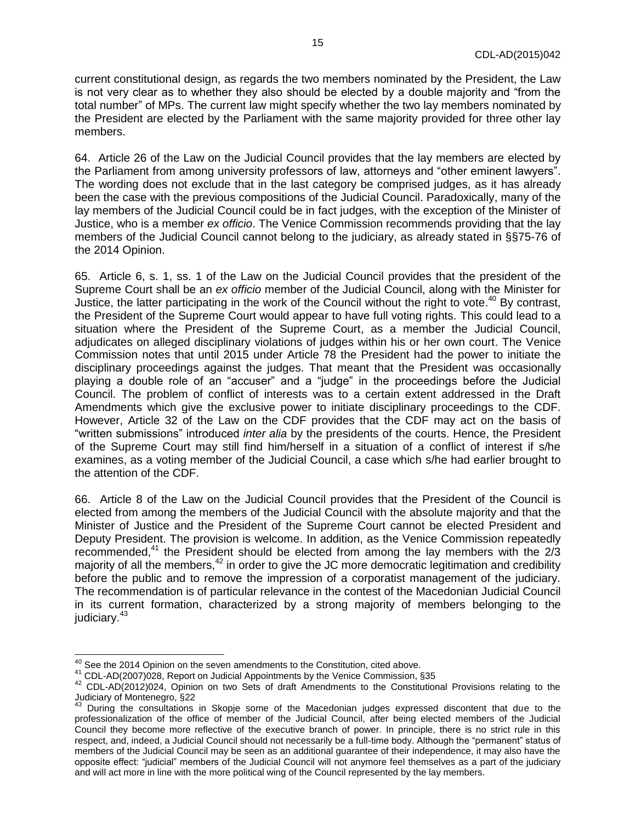current constitutional design, as regards the two members nominated by the President, the Law is not very clear as to whether they also should be elected by a double majority and "from the total number" of MPs. The current law might specify whether the two lay members nominated by the President are elected by the Parliament with the same majority provided for three other lay members.

64. Article 26 of the Law on the Judicial Council provides that the lay members are elected by the Parliament from among university professors of law, attorneys and "other eminent lawyers". The wording does not exclude that in the last category be comprised judges, as it has already been the case with the previous compositions of the Judicial Council. Paradoxically, many of the lay members of the Judicial Council could be in fact judges, with the exception of the Minister of Justice, who is a member *ex officio*. The Venice Commission recommends providing that the lay members of the Judicial Council cannot belong to the judiciary, as already stated in §§75-76 of the 2014 Opinion.

65. Article 6, s. 1, ss. 1 of the Law on the Judicial Council provides that the president of the Supreme Court shall be an *ex officio* member of the Judicial Council, along with the Minister for Justice, the latter participating in the work of the Council without the right to vote.<sup>40</sup> By contrast, the President of the Supreme Court would appear to have full voting rights. This could lead to a situation where the President of the Supreme Court, as a member the Judicial Council, adjudicates on alleged disciplinary violations of judges within his or her own court. The Venice Commission notes that until 2015 under Article 78 the President had the power to initiate the disciplinary proceedings against the judges. That meant that the President was occasionally playing a double role of an "accuser" and a "judge" in the proceedings before the Judicial Council. The problem of conflict of interests was to a certain extent addressed in the Draft Amendments which give the exclusive power to initiate disciplinary proceedings to the CDF. However, Article 32 of the Law on the CDF provides that the CDF may act on the basis of "written submissions" introduced *inter alia* by the presidents of the courts. Hence, the President of the Supreme Court may still find him/herself in a situation of a conflict of interest if s/he examines, as a voting member of the Judicial Council, a case which s/he had earlier brought to the attention of the CDF.

66. Article 8 of the Law on the Judicial Council provides that the President of the Council is elected from among the members of the Judicial Council with the absolute majority and that the Minister of Justice and the President of the Supreme Court cannot be elected President and Deputy President. The provision is welcome. In addition, as the Venice Commission repeatedly recommended, $41$  the President should be elected from among the lay members with the  $2/3$ majority of all the members,<sup>42</sup> in order to give the JC more democratic legitimation and credibility before the public and to remove the impression of a corporatist management of the judiciary. The recommendation is of particular relevance in the contest of the Macedonian Judicial Council in its current formation, characterized by a strong majority of members belonging to the judiciary.<sup>43</sup>

 $\overline{a}$ 

 $^{40}$  See the 2014 Opinion on the seven amendments to the Constitution, cited above.

<sup>41</sup> CDL-AD(2007)028, Report on Judicial Appointments by the Venice Commission, §35

<sup>42</sup> CDL-AD(2012)024, Opinion on two Sets of draft Amendments to the Constitutional Provisions relating to the Judiciary of Montenegro, §22

<sup>&</sup>lt;sup>43</sup> During the consultations in Skopje some of the Macedonian judges expressed discontent that due to the professionalization of the office of member of the Judicial Council, after being elected members of the Judicial Council they become more reflective of the executive branch of power. In principle, there is no strict rule in this respect, and, indeed, a Judicial Council should not necessarily be a full-time body. Although the "permanent" status of members of the Judicial Council may be seen as an additional guarantee of their independence, it may also have the opposite effect: "judicial" members of the Judicial Council will not anymore feel themselves as a part of the judiciary and will act more in line with the more political wing of the Council represented by the lay members.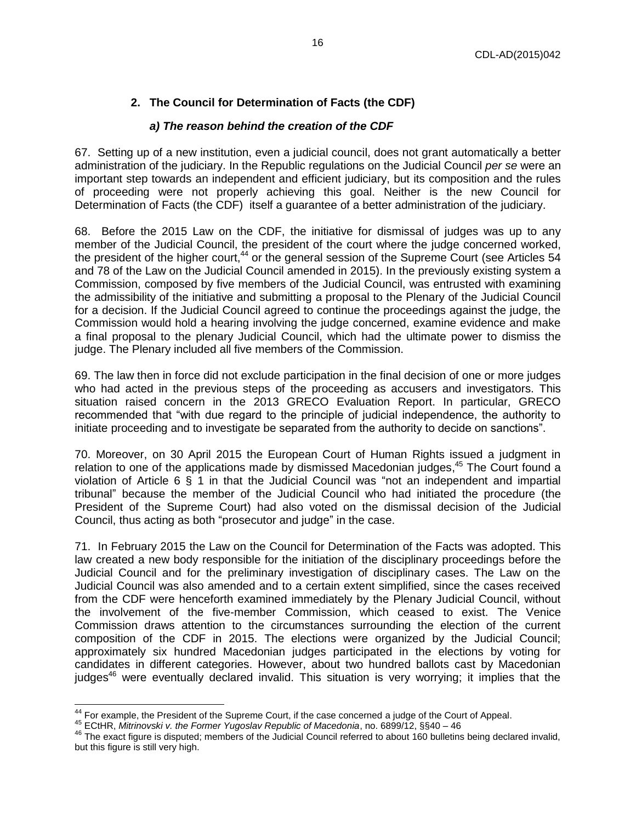## **2. The Council for Determination of Facts (the CDF)**

## *a) The reason behind the creation of the CDF*

<span id="page-15-1"></span><span id="page-15-0"></span>67. Setting up of a new institution, even a judicial council, does not grant automatically a better administration of the judiciary. In the Republic regulations on the Judicial Council *per se* were an important step towards an independent and efficient judiciary, but its composition and the rules of proceeding were not properly achieving this goal. Neither is the new Council for Determination of Facts (the CDF) itself a guarantee of a better administration of the judiciary.

68. Before the 2015 Law on the CDF, the initiative for dismissal of judges was up to any member of the Judicial Council, the president of the court where the judge concerned worked, the president of the higher court,<sup>44</sup> or the general session of the Supreme Court (see Articles  $54$ and 78 of the Law on the Judicial Council amended in 2015). In the previously existing system a Commission, composed by five members of the Judicial Council, was entrusted with examining the admissibility of the initiative and submitting a proposal to the Plenary of the Judicial Council for a decision. If the Judicial Council agreed to continue the proceedings against the judge, the Commission would hold a hearing involving the judge concerned, examine evidence and make a final proposal to the plenary Judicial Council, which had the ultimate power to dismiss the judge. The Plenary included all five members of the Commission.

69. The law then in force did not exclude participation in the final decision of one or more judges who had acted in the previous steps of the proceeding as accusers and investigators. This situation raised concern in the 2013 GRECO Evaluation Report. In particular, GRECO recommended that "with due regard to the principle of judicial independence, the authority to initiate proceeding and to investigate be separated from the authority to decide on sanctions".

70. Moreover, on 30 April 2015 the European Court of Human Rights issued a judgment in relation to one of the applications made by dismissed Macedonian judges,<sup>45</sup> The Court found a violation of Article 6 § 1 in that the Judicial Council was "not an independent and impartial tribunal" because the member of the Judicial Council who had initiated the procedure (the President of the Supreme Court) had also voted on the dismissal decision of the Judicial Council, thus acting as both "prosecutor and judge" in the case.

71. In February 2015 the Law on the Council for Determination of the Facts was adopted. This law created a new body responsible for the initiation of the disciplinary proceedings before the Judicial Council and for the preliminary investigation of disciplinary cases. The Law on the Judicial Council was also amended and to a certain extent simplified, since the cases received from the CDF were henceforth examined immediately by the Plenary Judicial Council, without the involvement of the five-member Commission, which ceased to exist. The Venice Commission draws attention to the circumstances surrounding the election of the current composition of the CDF in 2015. The elections were organized by the Judicial Council; approximately six hundred Macedonian judges participated in the elections by voting for candidates in different categories. However, about two hundred ballots cast by Macedonian judges<sup>46</sup> were eventually declared invalid. This situation is very worrying; it implies that the

 $44$  For example, the President of the Supreme Court, if the case concerned a judge of the Court of Appeal.

<sup>45</sup> ECtHR, *Mitrinovski v. the Former Yugoslav Republic of Macedonia*, no. 6899/12, §§40 – 46

 $46$  The exact figure is disputed; members of the Judicial Council referred to about 160 bulletins being declared invalid, but this figure is still very high.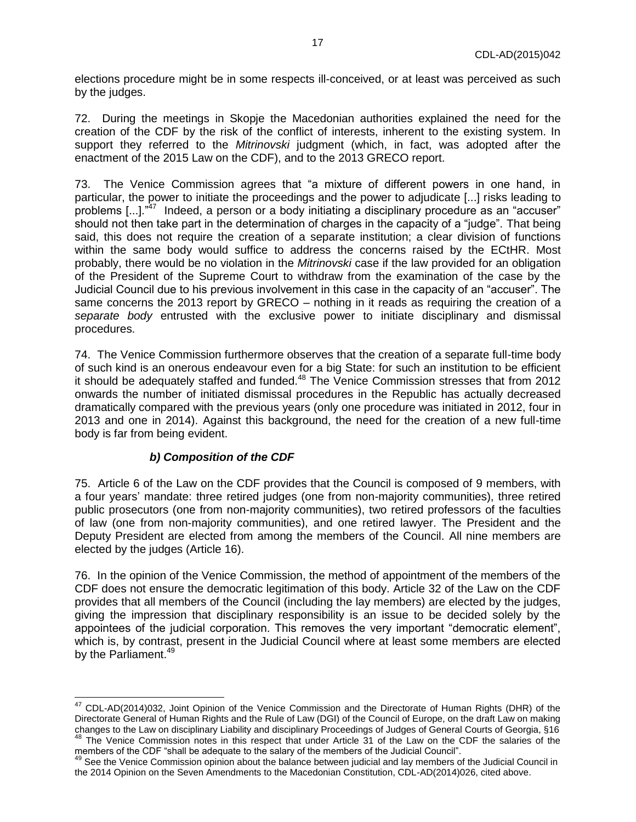elections procedure might be in some respects ill-conceived, or at least was perceived as such by the judges.

72. During the meetings in Skopje the Macedonian authorities explained the need for the creation of the CDF by the risk of the conflict of interests, inherent to the existing system. In support they referred to the *Mitrinovski* judgment (which, in fact, was adopted after the enactment of the 2015 Law on the CDF), and to the 2013 GRECO report.

73. The Venice Commission agrees that "a mixture of different powers in one hand, in particular, the power to initiate the proceedings and the power to adjudicate [...] risks leading to problems [...]."<sup>47</sup> Indeed, a person or a body initiating a disciplinary procedure as an "accuser" should not then take part in the determination of charges in the capacity of a "judge". That being said, this does not require the creation of a separate institution; a clear division of functions within the same body would suffice to address the concerns raised by the ECtHR. Most probably, there would be no violation in the *Mitrinovski* case if the law provided for an obligation of the President of the Supreme Court to withdraw from the examination of the case by the Judicial Council due to his previous involvement in this case in the capacity of an "accuser". The same concerns the 2013 report by GRECO – nothing in it reads as requiring the creation of a *separate body* entrusted with the exclusive power to initiate disciplinary and dismissal procedures.

74. The Venice Commission furthermore observes that the creation of a separate full-time body of such kind is an onerous endeavour even for a big State: for such an institution to be efficient it should be adequately staffed and funded.<sup>48</sup> The Venice Commission stresses that from 2012 onwards the number of initiated dismissal procedures in the Republic has actually decreased dramatically compared with the previous years (only one procedure was initiated in 2012, four in 2013 and one in 2014). Against this background, the need for the creation of a new full-time body is far from being evident.

### *b) Composition of the CDF*

<span id="page-16-0"></span>75. Article 6 of the Law on the CDF provides that the Council is composed of 9 members, with a four years' mandate: three retired judges (one from non-majority communities), three retired public prosecutors (one from non-majority communities), two retired professors of the faculties of law (one from non-majority communities), and one retired lawyer. The President and the Deputy President are elected from among the members of the Council. All nine members are elected by the judges (Article 16).

76. In the opinion of the Venice Commission, the method of appointment of the members of the CDF does not ensure the democratic legitimation of this body. Article 32 of the Law on the CDF provides that all members of the Council (including the lay members) are elected by the judges, giving the impression that disciplinary responsibility is an issue to be decided solely by the appointees of the judicial corporation. This removes the very important "democratic element", which is, by contrast, present in the Judicial Council where at least some members are elected by the Parliament.<sup>49</sup>

 $47$  CDL-AD(2014)032, Joint Opinion of the Venice Commission and the Directorate of Human Rights (DHR) of the Directorate General of Human Rights and the Rule of Law (DGI) of the Council of Europe, on the draft Law on making changes to the Law on disciplinary Liability and disciplinary Proceedings of Judges of General Courts of Georgia, §16 The Venice Commission notes in this respect that under Article 31 of the Law on the CDF the salaries of the members of the CDF "shall be adequate to the salary of the members of the Judicial Council".

<sup>&</sup>lt;sup>49</sup> See the Venice Commission opinion about the balance between judicial and lay members of the Judicial Council in the 2014 Opinion on the Seven Amendments to the Macedonian Constitution, CDL-AD(2014)026, cited above.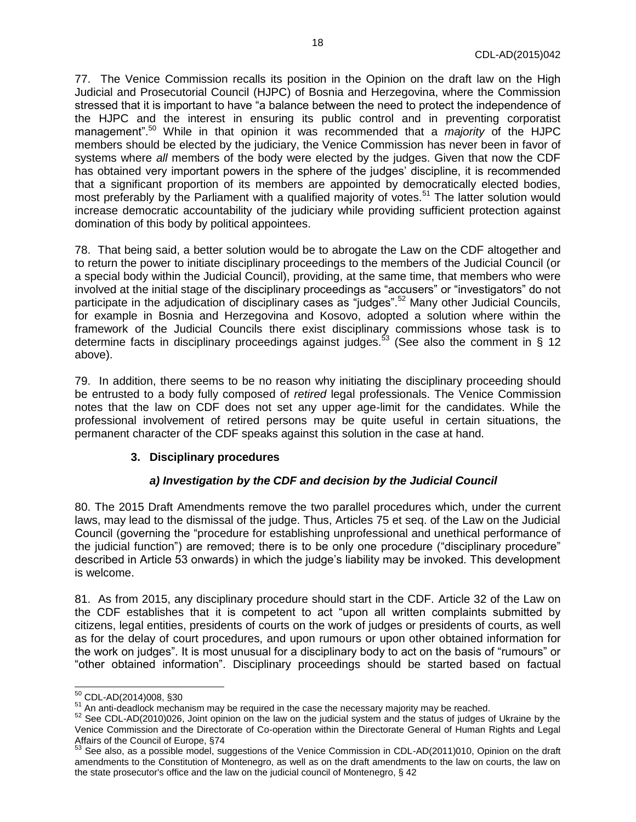77. The Venice Commission recalls its position in the Opinion on the draft law on the High Judicial and Prosecutorial Council (HJPC) of Bosnia and Herzegovina, where the Commission stressed that it is important to have "a balance between the need to protect the independence of the HJPC and the interest in ensuring its public control and in preventing corporatist management".<sup>50</sup> While in that opinion it was recommended that a *majority* of the HJPC members should be elected by the judiciary, the Venice Commission has never been in favor of systems where *all* members of the body were elected by the judges. Given that now the CDF has obtained very important powers in the sphere of the judges' discipline, it is recommended that a significant proportion of its members are appointed by democratically elected bodies, most preferably by the Parliament with a qualified majority of votes.<sup>51</sup> The latter solution would increase democratic accountability of the judiciary while providing sufficient protection against domination of this body by political appointees.

78. That being said, a better solution would be to abrogate the Law on the CDF altogether and to return the power to initiate disciplinary proceedings to the members of the Judicial Council (or a special body within the Judicial Council), providing, at the same time, that members who were involved at the initial stage of the disciplinary proceedings as "accusers" or "investigators" do not participate in the adjudication of disciplinary cases as "judges".<sup>52</sup> Many other Judicial Councils, for example in Bosnia and Herzegovina and Kosovo, adopted a solution where within the framework of the Judicial Councils there exist disciplinary commissions whose task is to determine facts in disciplinary proceedings against judges.<sup>53</sup> (See also the comment in § 12 above).

79. In addition, there seems to be no reason why initiating the disciplinary proceeding should be entrusted to a body fully composed of *retired* legal professionals. The Venice Commission notes that the law on CDF does not set any upper age-limit for the candidates. While the professional involvement of retired persons may be quite useful in certain situations, the permanent character of the CDF speaks against this solution in the case at hand.

### <span id="page-17-0"></span>**3. Disciplinary procedures**

#### *a) Investigation by the CDF and decision by the Judicial Council*

<span id="page-17-1"></span>80. The 2015 Draft Amendments remove the two parallel procedures which, under the current laws, may lead to the dismissal of the judge. Thus, Articles 75 et seq. of the Law on the Judicial Council (governing the "procedure for establishing unprofessional and unethical performance of the judicial function") are removed; there is to be only one procedure ("disciplinary procedure" described in Article 53 onwards) in which the judge's liability may be invoked. This development is welcome.

81. As from 2015, any disciplinary procedure should start in the CDF. Article 32 of the Law on the CDF establishes that it is competent to act "upon all written complaints submitted by citizens, legal entities, presidents of courts on the work of judges or presidents of courts, as well as for the delay of court procedures, and upon rumours or upon other obtained information for the work on judges". It is most unusual for a disciplinary body to act on the basis of "rumours" or "other obtained information". Disciplinary proceedings should be started based on factual

 $\overline{a}$ <sup>50</sup> CDL-AD(2014)008, §30

 $51$  An anti-deadlock mechanism may be required in the case the necessary majority may be reached.

<sup>52</sup> See CDL-AD(2010)026, Joint opinion on the law on the judicial system and the status of judges of Ukraine by the Venice Commission and the Directorate of Co-operation within the Directorate General of Human Rights and Legal Affairs of the Council of Europe, §74

 $53$  See also, as a possible model, suggestions of the Venice Commission in CDL-AD(2011)010, Opinion on the draft amendments to the Constitution of Montenegro, as well as on the draft amendments to the law on courts, the law on the state prosecutor's office and the law on the judicial council of Montenegro, § 42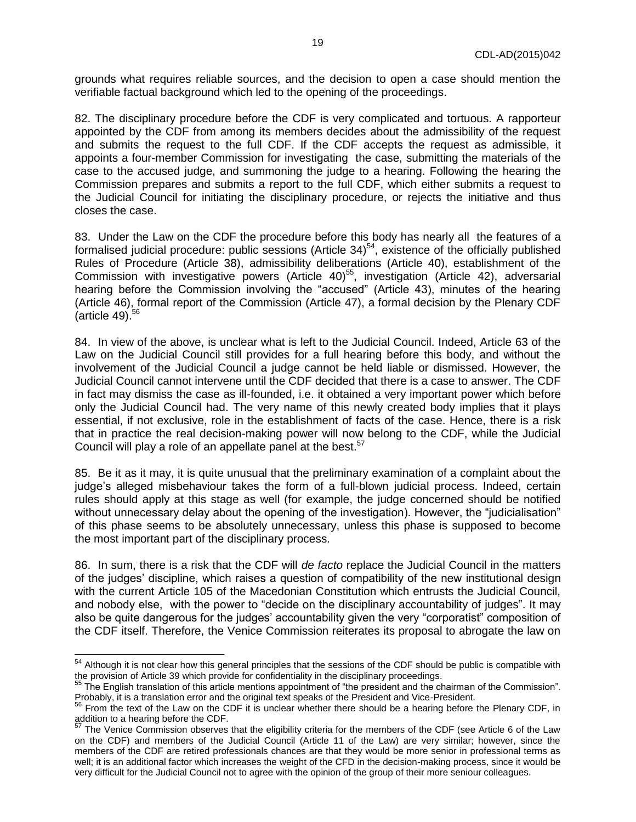grounds what requires reliable sources, and the decision to open a case should mention the verifiable factual background which led to the opening of the proceedings.

82. The disciplinary procedure before the CDF is very complicated and tortuous. A rapporteur appointed by the CDF from among its members decides about the admissibility of the request and submits the request to the full CDF. If the CDF accepts the request as admissible, it appoints a four-member Commission for investigating the case, submitting the materials of the case to the accused judge, and summoning the judge to a hearing. Following the hearing the Commission prepares and submits a report to the full CDF, which either submits a request to the Judicial Council for initiating the disciplinary procedure, or rejects the initiative and thus closes the case.

83. Under the Law on the CDF the procedure before this body has nearly all the features of a formalised judicial procedure: public sessions (Article 34)<sup>54</sup>, existence of the officially published Rules of Procedure (Article 38), admissibility deliberations (Article 40), establishment of the Commission with investigative powers (Article 40)<sup>55</sup>, investigation (Article 42), adversarial hearing before the Commission involving the "accused" (Article 43), minutes of the hearing (Article 46), formal report of the Commission (Article 47), a formal decision by the Plenary CDF (article 49). 56

84. In view of the above, is unclear what is left to the Judicial Council. Indeed, Article 63 of the Law on the Judicial Council still provides for a full hearing before this body, and without the involvement of the Judicial Council a judge cannot be held liable or dismissed. However, the Judicial Council cannot intervene until the CDF decided that there is a case to answer. The CDF in fact may dismiss the case as ill-founded, i.e. it obtained a very important power which before only the Judicial Council had. The very name of this newly created body implies that it plays essential, if not exclusive, role in the establishment of facts of the case. Hence, there is a risk that in practice the real decision-making power will now belong to the CDF, while the Judicial Council will play a role of an appellate panel at the best.<sup>57</sup>

85. Be it as it may, it is quite unusual that the preliminary examination of a complaint about the judge's alleged misbehaviour takes the form of a full-blown judicial process. Indeed, certain rules should apply at this stage as well (for example, the judge concerned should be notified without unnecessary delay about the opening of the investigation). However, the "judicialisation" of this phase seems to be absolutely unnecessary, unless this phase is supposed to become the most important part of the disciplinary process.

86. In sum, there is a risk that the CDF will *de facto* replace the Judicial Council in the matters of the judges' discipline, which raises a question of compatibility of the new institutional design with the current Article 105 of the Macedonian Constitution which entrusts the Judicial Council, and nobody else, with the power to "decide on the disciplinary accountability of judges". It may also be quite dangerous for the judges' accountability given the very "corporatist" composition of the CDF itself. Therefore, the Venice Commission reiterates its proposal to abrogate the law on

 $\overline{a}$ 

 $54$  Although it is not clear how this general principles that the sessions of the CDF should be public is compatible with the provision of Article 39 which provide for confidentiality in the disciplinary proceedings.

<sup>55</sup> The English translation of this article mentions appointment of "the president and the chairman of the Commission". Probably, it is a translation error and the original text speaks of the President and Vice-President.

 $56$  From the text of the Law on the CDF it is unclear whether there should be a hearing before the Plenary CDF, in addition to a hearing before the CDF.

The Venice Commission observes that the eligibility criteria for the members of the CDF (see Article 6 of the Law on the CDF) and members of the Judicial Council (Article 11 of the Law) are very similar; however, since the members of the CDF are retired professionals chances are that they would be more senior in professional terms as well; it is an additional factor which increases the weight of the CFD in the decision-making process, since it would be very difficult for the Judicial Council not to agree with the opinion of the group of their more seniour colleagues.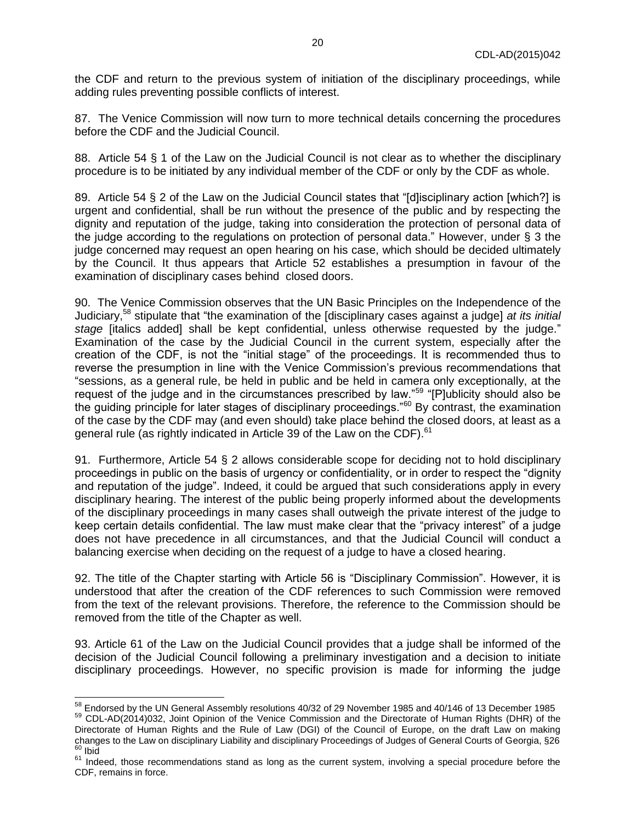the CDF and return to the previous system of initiation of the disciplinary proceedings, while adding rules preventing possible conflicts of interest.

87. The Venice Commission will now turn to more technical details concerning the procedures before the CDF and the Judicial Council.

88. Article 54 § 1 of the Law on the Judicial Council is not clear as to whether the disciplinary procedure is to be initiated by any individual member of the CDF or only by the CDF as whole.

89. Article 54 § 2 of the Law on the Judicial Council states that "[d]isciplinary action [which?] is urgent and confidential, shall be run without the presence of the public and by respecting the dignity and reputation of the judge, taking into consideration the protection of personal data of the judge according to the regulations on protection of personal data." However, under § 3 the judge concerned may request an open hearing on his case, which should be decided ultimately by the Council. It thus appears that Article 52 establishes a presumption in favour of the examination of disciplinary cases behind closed doors.

90. The Venice Commission observes that the UN Basic Principles on the Independence of the Judiciary,<sup>58</sup> stipulate that "the examination of the [disciplinary cases against a judge] *at its initial stage* [italics added] shall be kept confidential, unless otherwise requested by the judge." Examination of the case by the Judicial Council in the current system, especially after the creation of the CDF, is not the "initial stage" of the proceedings. It is recommended thus to reverse the presumption in line with the Venice Commission's previous recommendations that "sessions, as a general rule, be held in public and be held in camera only exceptionally, at the request of the judge and in the circumstances prescribed by law."<sup>59</sup> "[P]ublicity should also be the guiding principle for later stages of disciplinary proceedings."<sup>60</sup> By contrast, the examination of the case by the CDF may (and even should) take place behind the closed doors, at least as a general rule (as rightly indicated in Article 39 of the Law on the CDF).<sup>61</sup>

91. Furthermore, Article 54 § 2 allows considerable scope for deciding not to hold disciplinary proceedings in public on the basis of urgency or confidentiality, or in order to respect the "dignity and reputation of the judge". Indeed, it could be argued that such considerations apply in every disciplinary hearing. The interest of the public being properly informed about the developments of the disciplinary proceedings in many cases shall outweigh the private interest of the judge to keep certain details confidential. The law must make clear that the "privacy interest" of a judge does not have precedence in all circumstances, and that the Judicial Council will conduct a balancing exercise when deciding on the request of a judge to have a closed hearing.

92. The title of the Chapter starting with Article 56 is "Disciplinary Commission". However, it is understood that after the creation of the CDF references to such Commission were removed from the text of the relevant provisions. Therefore, the reference to the Commission should be removed from the title of the Chapter as well.

93. Article 61 of the Law on the Judicial Council provides that a judge shall be informed of the decision of the Judicial Council following a preliminary investigation and a decision to initiate disciplinary proceedings. However, no specific provision is made for informing the judge

 $^{58}$  Endorsed by the UN General Assembly resolutions 40/32 of 29 November 1985 and 40/146 of 13 December 1985

<sup>59</sup> CDL-AD(2014)032, Joint Opinion of the Venice Commission and the Directorate of Human Rights (DHR) of the Directorate of Human Rights and the Rule of Law (DGI) of the Council of Europe, on the draft Law on making changes to the Law on disciplinary Liability and disciplinary Proceedings of Judges of General Courts of Georgia, §26  $60$  Ibid

<sup>&</sup>lt;sup>61</sup> Indeed, those recommendations stand as long as the current system, involving a special procedure before the CDF, remains in force.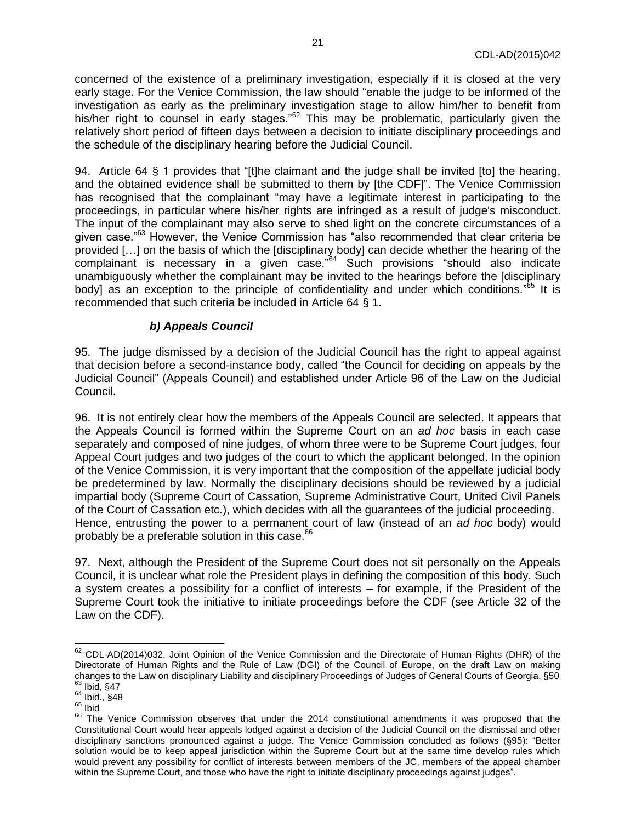concerned of the existence of a preliminary investigation, especially if it is closed at the very early stage. For the Venice Commission, the law should "enable the judge to be informed of the investigation as early as the preliminary investigation stage to allow him/her to benefit from his/her right to counsel in early stages."<sup>62</sup> This may be problematic, particularly given the relatively short period of fifteen days between a decision to initiate disciplinary proceedings and the schedule of the disciplinary hearing before the Judicial Council.

94. Article 64 § 1 provides that "[t]he claimant and the judge shall be invited [to] the hearing, and the obtained evidence shall be submitted to them by [the CDF]". The Venice Commission has recognised that the complainant "may have a legitimate interest in participating to the proceedings, in particular where his/her rights are infringed as a result of judge's misconduct. The input of the complainant may also serve to shed light on the concrete circumstances of a given case."<sup>63</sup> However, the Venice Commission has "also recommended that clear criteria be provided […] on the basis of which the [disciplinary body] can decide whether the hearing of the complainant is necessary in a given case."<sup>64</sup> Such provisions "should also indicate unambiguously whether the complainant may be invited to the hearings before the [disciplinary body] as an exception to the principle of confidentiality and under which conditions."<sup>65</sup> It is recommended that such criteria be included in Article 64 § 1.

### *b) Appeals Council*

<span id="page-20-0"></span>95. The judge dismissed by a decision of the Judicial Council has the right to appeal against that decision before a second-instance body, called "the Council for deciding on appeals by the Judicial Council" (Appeals Council) and established under Article 96 of the Law on the Judicial Council.

96. It is not entirely clear how the members of the Appeals Council are selected. It appears that the Appeals Council is formed within the Supreme Court on an *ad hoc* basis in each case separately and composed of nine judges, of whom three were to be Supreme Court judges, four Appeal Court judges and two judges of the court to which the applicant belonged. In the opinion of the Venice Commission, it is very important that the composition of the appellate judicial body be predetermined by law. Normally the disciplinary decisions should be reviewed by a judicial impartial body (Supreme Court of Cassation, Supreme Administrative Court, United Civil Panels of the Court of Cassation etc.), which decides with all the guarantees of the judicial proceeding. Hence, entrusting the power to a permanent court of law (instead of an *ad hoc* body) would probably be a preferable solution in this case. $66$ 

97. Next, although the President of the Supreme Court does not sit personally on the Appeals Council, it is unclear what role the President plays in defining the composition of this body. Such a system creates a possibility for a conflict of interests – for example, if the President of the Supreme Court took the initiative to initiate proceedings before the CDF (see Article 32 of the Law on the CDF).

 $62$  CDL-AD(2014)032, Joint Opinion of the Venice Commission and the Directorate of Human Rights (DHR) of the Directorate of Human Rights and the Rule of Law (DGI) of the Council of Europe, on the draft Law on making changes to the Law on disciplinary Liability and disciplinary Proceedings of Judges of General Courts of Georgia, §50  $63$  Ibid, §47

 $64$  Ibid.,  $\S 48$ 

 $65$  Ibid

<sup>&</sup>lt;sup>66</sup> The Venice Commission observes that under the 2014 constitutional amendments it was proposed that the Constitutional Court would hear appeals lodged against a decision of the Judicial Council on the dismissal and other disciplinary sanctions pronounced against a judge. The Venice Commission concluded as follows (§95): "Better solution would be to keep appeal jurisdiction within the Supreme Court but at the same time develop rules which would prevent any possibility for conflict of interests between members of the JC, members of the appeal chamber within the Supreme Court, and those who have the right to initiate disciplinary proceedings against judges".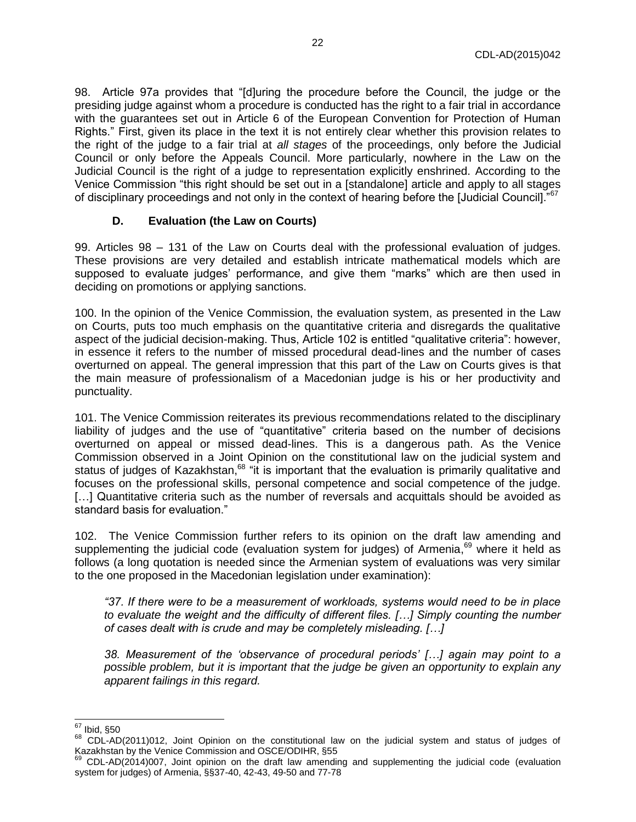98. Article 97a provides that "[d]uring the procedure before the Council, the judge or the presiding judge against whom a procedure is conducted has the right to a fair trial in accordance with the guarantees set out in Article 6 of the European Convention for Protection of Human Rights." First, given its place in the text it is not entirely clear whether this provision relates to the right of the judge to a fair trial at *all stages* of the proceedings, only before the Judicial Council or only before the Appeals Council. More particularly, nowhere in the Law on the Judicial Council is the right of a judge to representation explicitly enshrined. According to the Venice Commission "this right should be set out in a [standalone] article and apply to all stages of disciplinary proceedings and not only in the context of hearing before the [Judicial Council]."<sup>67</sup>

#### **D. Evaluation (the Law on Courts)**

<span id="page-21-0"></span>99. Articles 98 – 131 of the Law on Courts deal with the professional evaluation of judges. These provisions are very detailed and establish intricate mathematical models which are supposed to evaluate judges' performance, and give them "marks" which are then used in deciding on promotions or applying sanctions.

100. In the opinion of the Venice Commission, the evaluation system, as presented in the Law on Courts, puts too much emphasis on the quantitative criteria and disregards the qualitative aspect of the judicial decision-making. Thus, Article 102 is entitled "qualitative criteria": however, in essence it refers to the number of missed procedural dead-lines and the number of cases overturned on appeal. The general impression that this part of the Law on Courts gives is that the main measure of professionalism of a Macedonian judge is his or her productivity and punctuality.

101. The Venice Commission reiterates its previous recommendations related to the disciplinary liability of judges and the use of "quantitative" criteria based on the number of decisions overturned on appeal or missed dead-lines. This is a dangerous path. As the Venice Commission observed in a Joint Opinion on the constitutional law on the judicial system and status of judges of Kazakhstan,<sup>68</sup> "it is important that the evaluation is primarily qualitative and focuses on the professional skills, personal competence and social competence of the judge. [...] Quantitative criteria such as the number of reversals and acquittals should be avoided as standard basis for evaluation."

102. The Venice Commission further refers to its opinion on the draft law amending and supplementing the judicial code (evaluation system for judges) of Armenia,<sup>69</sup> where it held as follows (a long quotation is needed since the Armenian system of evaluations was very similar to the one proposed in the Macedonian legislation under examination):

*"37. If there were to be a measurement of workloads, systems would need to be in place to evaluate the weight and the difficulty of different files. […] Simply counting the number of cases dealt with is crude and may be completely misleading. […]*

*38. Measurement of the 'observance of procedural periods' […] again may point to a possible problem, but it is important that the judge be given an opportunity to explain any apparent failings in this regard.*

 <sup>67</sup> Ibid, §50

<sup>68</sup> CDL-AD(2011)012, Joint Opinion on the constitutional law on the judicial system and status of judges of Kazakhstan by the Venice Commission and OSCE/ODIHR, §55

<sup>69</sup> CDL-AD(2014)007, Joint opinion on the draft law amending and supplementing the judicial code (evaluation system for judges) of Armenia, §§37-40, 42-43, 49-50 and 77-78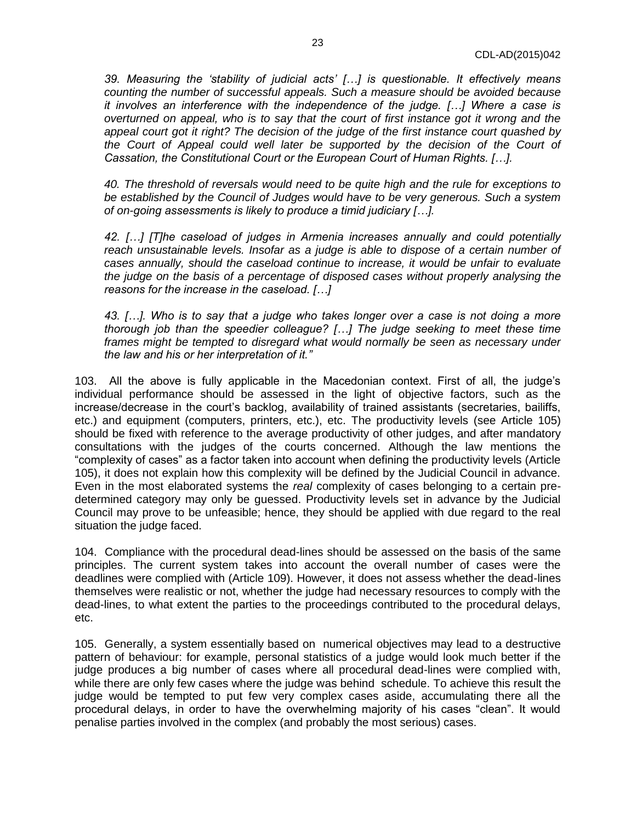*39. Measuring the 'stability of judicial acts' […] is questionable. It effectively means counting the number of successful appeals. Such a measure should be avoided because it involves an interference with the independence of the judge. […] Where a case is overturned on appeal, who is to say that the court of first instance got it wrong and the appeal court got it right? The decision of the judge of the first instance court quashed by*  the Court of Appeal could well later be supported by the decision of the Court of *Cassation, the Constitutional Court or the European Court of Human Rights. […].*

*40. The threshold of reversals would need to be quite high and the rule for exceptions to be established by the Council of Judges would have to be very generous. Such a system of on-going assessments is likely to produce a timid judiciary […].*

*42. […] [T]he caseload of judges in Armenia increases annually and could potentially reach unsustainable levels. Insofar as a judge is able to dispose of a certain number of cases annually, should the caseload continue to increase, it would be unfair to evaluate the judge on the basis of a percentage of disposed cases without properly analysing the reasons for the increase in the caseload. […]*

*43. […]. Who is to say that a judge who takes longer over a case is not doing a more thorough job than the speedier colleague? […] The judge seeking to meet these time frames might be tempted to disregard what would normally be seen as necessary under the law and his or her interpretation of it."*

103. All the above is fully applicable in the Macedonian context. First of all, the judge's individual performance should be assessed in the light of objective factors, such as the increase/decrease in the court's backlog, availability of trained assistants (secretaries, bailiffs, etc.) and equipment (computers, printers, etc.), etc. The productivity levels (see Article 105) should be fixed with reference to the average productivity of other judges, and after mandatory consultations with the judges of the courts concerned. Although the law mentions the "complexity of cases" as a factor taken into account when defining the productivity levels (Article 105), it does not explain how this complexity will be defined by the Judicial Council in advance. Even in the most elaborated systems the *real* complexity of cases belonging to a certain predetermined category may only be guessed. Productivity levels set in advance by the Judicial Council may prove to be unfeasible; hence, they should be applied with due regard to the real situation the judge faced.

104. Compliance with the procedural dead-lines should be assessed on the basis of the same principles. The current system takes into account the overall number of cases were the deadlines were complied with (Article 109). However, it does not assess whether the dead-lines themselves were realistic or not, whether the judge had necessary resources to comply with the dead-lines, to what extent the parties to the proceedings contributed to the procedural delays, etc.

105. Generally, a system essentially based on numerical objectives may lead to a destructive pattern of behaviour: for example, personal statistics of a judge would look much better if the judge produces a big number of cases where all procedural dead-lines were complied with, while there are only few cases where the judge was behind schedule. To achieve this result the judge would be tempted to put few very complex cases aside, accumulating there all the procedural delays, in order to have the overwhelming majority of his cases "clean". It would penalise parties involved in the complex (and probably the most serious) cases.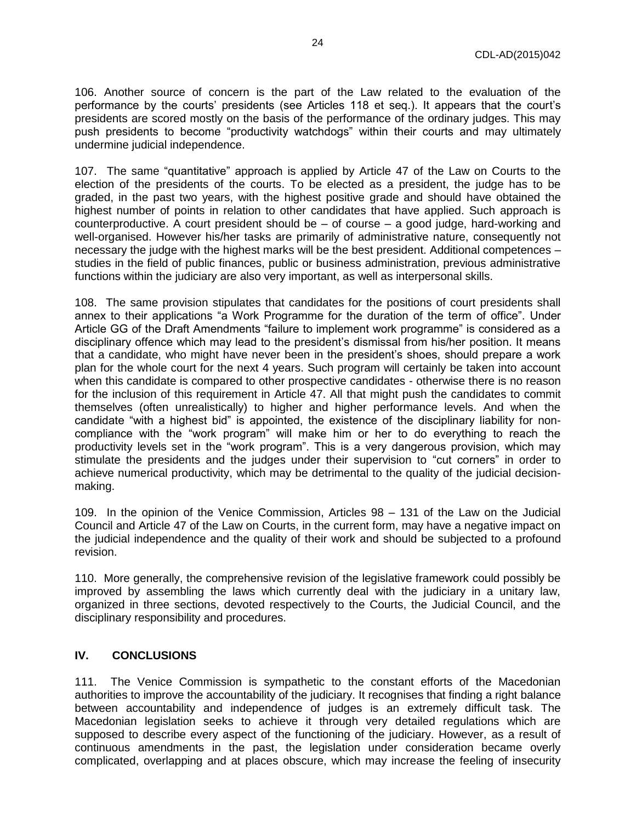106. Another source of concern is the part of the Law related to the evaluation of the performance by the courts' presidents (see Articles 118 et seq.). It appears that the court's presidents are scored mostly on the basis of the performance of the ordinary judges. This may push presidents to become "productivity watchdogs" within their courts and may ultimately undermine judicial independence.

107. The same "quantitative" approach is applied by Article 47 of the Law on Courts to the election of the presidents of the courts. To be elected as a president, the judge has to be graded, in the past two years, with the highest positive grade and should have obtained the highest number of points in relation to other candidates that have applied. Such approach is counterproductive. A court president should be – of course – a good judge, hard-working and well-organised. However his/her tasks are primarily of administrative nature, consequently not necessary the judge with the highest marks will be the best president. Additional competences – studies in the field of public finances, public or business administration, previous administrative functions within the judiciary are also very important, as well as interpersonal skills.

108. The same provision stipulates that candidates for the positions of court presidents shall annex to their applications "a Work Programme for the duration of the term of office". Under Article GG of the Draft Amendments "failure to implement work programme" is considered as a disciplinary offence which may lead to the president's dismissal from his/her position. It means that a candidate, who might have never been in the president's shoes, should prepare a work plan for the whole court for the next 4 years. Such program will certainly be taken into account when this candidate is compared to other prospective candidates - otherwise there is no reason for the inclusion of this requirement in Article 47. All that might push the candidates to commit themselves (often unrealistically) to higher and higher performance levels. And when the candidate "with a highest bid" is appointed, the existence of the disciplinary liability for noncompliance with the "work program" will make him or her to do everything to reach the productivity levels set in the "work program". This is a very dangerous provision, which may stimulate the presidents and the judges under their supervision to "cut corners" in order to achieve numerical productivity, which may be detrimental to the quality of the judicial decisionmaking.

109. In the opinion of the Venice Commission, Articles 98 – 131 of the Law on the Judicial Council and Article 47 of the Law on Courts, in the current form, may have a negative impact on the judicial independence and the quality of their work and should be subjected to a profound revision.

110. More generally, the comprehensive revision of the legislative framework could possibly be improved by assembling the laws which currently deal with the judiciary in a unitary law, organized in three sections, devoted respectively to the Courts, the Judicial Council, and the disciplinary responsibility and procedures.

#### <span id="page-23-0"></span>**IV. CONCLUSIONS**

111. The Venice Commission is sympathetic to the constant efforts of the Macedonian authorities to improve the accountability of the judiciary. It recognises that finding a right balance between accountability and independence of judges is an extremely difficult task. The Macedonian legislation seeks to achieve it through very detailed regulations which are supposed to describe every aspect of the functioning of the judiciary. However, as a result of continuous amendments in the past, the legislation under consideration became overly complicated, overlapping and at places obscure, which may increase the feeling of insecurity